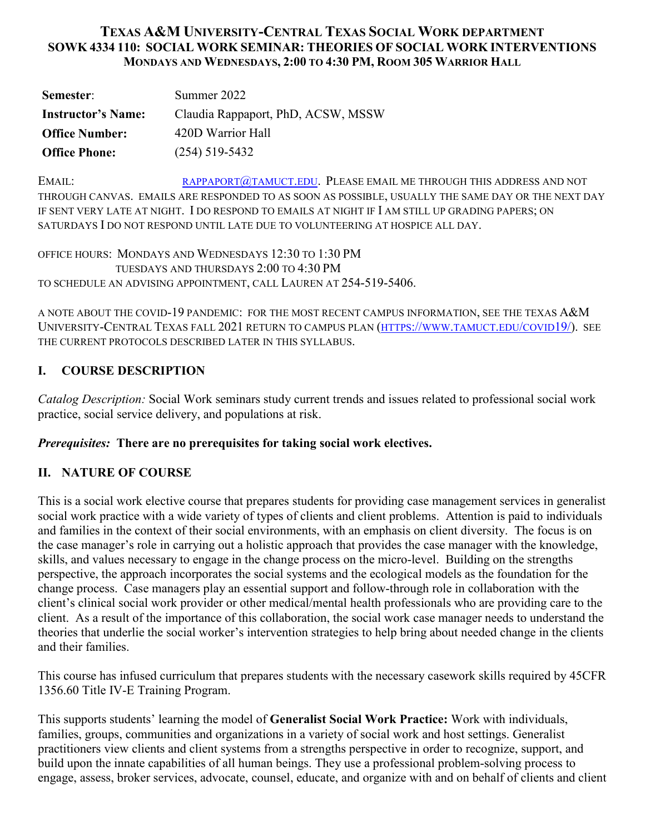# **TEXAS A&M UNIVERSITY-CENTRAL TEXAS SOCIAL WORK DEPARTMENT SOWK 4334 110: SOCIAL WORK SEMINAR: THEORIES OF SOCIAL WORK INTERVENTIONS MONDAYS AND WEDNESDAYS, 2:00 TO 4:30 PM, ROOM 305 WARRIOR HALL**

| Semester:                 | Summer 2022                        |
|---------------------------|------------------------------------|
| <b>Instructor's Name:</b> | Claudia Rappaport, PhD, ACSW, MSSW |
| <b>Office Number:</b>     | 420D Warrior Hall                  |
| <b>Office Phone:</b>      | $(254)$ 519-5432                   |

EMAIL: [RAPPAPORT@TAMUCT.EDU.](mailto:rappaport@tamuct.edu) PLEASE EMAIL ME THROUGH THIS ADDRESS AND NOT THROUGH CANVAS. EMAILS ARE RESPONDED TO AS SOON AS POSSIBLE, USUALLY THE SAME DAY OR THE NEXT DAY IF SENT VERY LATE AT NIGHT. I DO RESPOND TO EMAILS AT NIGHT IF I AM STILL UP GRADING PAPERS; ON SATURDAYS I DO NOT RESPOND UNTIL LATE DUE TO VOLUNTEERING AT HOSPICE ALL DAY.

OFFICE HOURS: MONDAYS AND WEDNESDAYS 12:30 TO 1:30 PM TUESDAYS AND THURSDAYS 2:00 TO 4:30 PM TO SCHEDULE AN ADVISING APPOINTMENT, CALL LAUREN AT 254-519-5406.

A NOTE ABOUT THE COVID-19 PANDEMIC: FOR THE MOST RECENT CAMPUS INFORMATION, SEE THE TEXAS A&M UNIVERSITY-CENTRAL TEXAS FALL 2021 RETURN TO CAMPUS PLAN [\(HTTPS://WWW.TAMUCT.EDU/COVID19/\)](https://www.tamuct.edu/covid19/). SEE THE CURRENT PROTOCOLS DESCRIBED LATER IN THIS SYLLABUS.

# **I. COURSE DESCRIPTION**

*Catalog Description:* Social Work seminars study current trends and issues related to professional social work practice, social service delivery, and populations at risk.

# *Prerequisites:* **There are no prerequisites for taking social work electives.**

# **II. NATURE OF COURSE**

This is a social work elective course that prepares students for providing case management services in generalist social work practice with a wide variety of types of clients and client problems. Attention is paid to individuals and families in the context of their social environments, with an emphasis on client diversity. The focus is on the case manager's role in carrying out a holistic approach that provides the case manager with the knowledge, skills, and values necessary to engage in the change process on the micro-level. Building on the strengths perspective, the approach incorporates the social systems and the ecological models as the foundation for the change process. Case managers play an essential support and follow-through role in collaboration with the client's clinical social work provider or other medical/mental health professionals who are providing care to the client. As a result of the importance of this collaboration, the social work case manager needs to understand the theories that underlie the social worker's intervention strategies to help bring about needed change in the clients and their families.

This course has infused curriculum that prepares students with the necessary casework skills required by 45CFR 1356.60 Title IV-E Training Program.

This supports students' learning the model of **Generalist Social Work Practice:** Work with individuals, families, groups, communities and organizations in a variety of social work and host settings. Generalist practitioners view clients and client systems from a strengths perspective in order to recognize, support, and build upon the innate capabilities of all human beings. They use a professional problem-solving process to engage, assess, broker services, advocate, counsel, educate, and organize with and on behalf of clients and client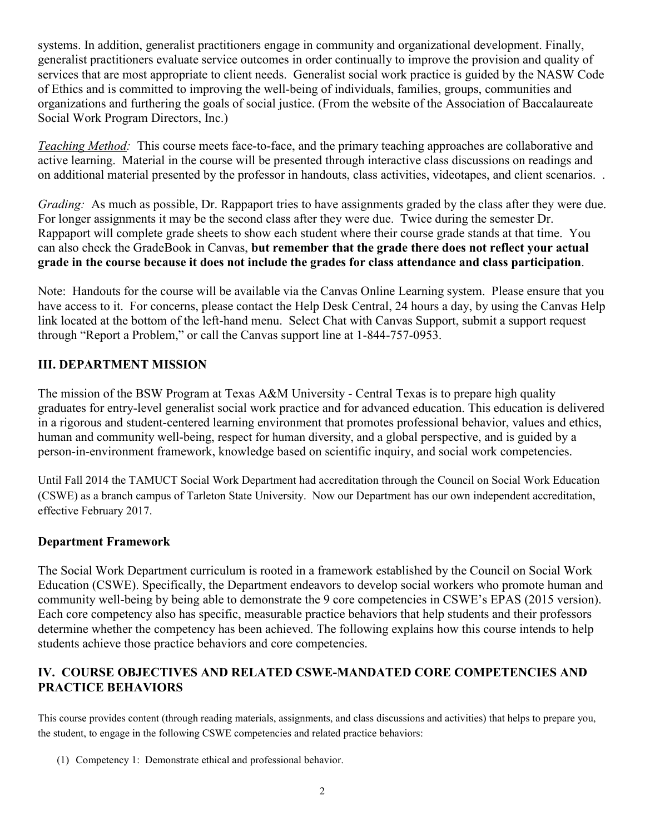systems. In addition, generalist practitioners engage in community and organizational development. Finally, generalist practitioners evaluate service outcomes in order continually to improve the provision and quality of services that are most appropriate to client needs. Generalist social work practice is guided by the NASW Code of Ethics and is committed to improving the well-being of individuals, families, groups, communities and organizations and furthering the goals of social justice. (From the website of the Association of Baccalaureate Social Work Program Directors, Inc.)

*Teaching Method:* This course meets face-to-face, and the primary teaching approaches are collaborative and active learning. Material in the course will be presented through interactive class discussions on readings and on additional material presented by the professor in handouts, class activities, videotapes, and client scenarios. .

*Grading:* As much as possible, Dr. Rappaport tries to have assignments graded by the class after they were due. For longer assignments it may be the second class after they were due. Twice during the semester Dr. Rappaport will complete grade sheets to show each student where their course grade stands at that time. You can also check the GradeBook in Canvas, **but remember that the grade there does not reflect your actual grade in the course because it does not include the grades for class attendance and class participation**.

Note: Handouts for the course will be available via the Canvas Online Learning system. Please ensure that you have access to it. For concerns, please contact the Help Desk Central, 24 hours a day, by using the Canvas Help link located at the bottom of the left-hand menu. Select Chat with Canvas Support, submit a support request through "Report a Problem," or call the Canvas support line at 1-844-757-0953.

# **III. DEPARTMENT MISSION**

The mission of the BSW Program at Texas A&M University - Central Texas is to prepare high quality graduates for entry-level generalist social work practice and for advanced education. This education is delivered in a rigorous and student-centered learning environment that promotes professional behavior, values and ethics, human and community well-being, respect for human diversity, and a global perspective, and is guided by a person-in-environment framework, knowledge based on scientific inquiry, and social work competencies.

Until Fall 2014 the TAMUCT Social Work Department had accreditation through the Council on Social Work Education (CSWE) as a branch campus of Tarleton State University. Now our Department has our own independent accreditation, effective February 2017.

## **Department Framework**

The Social Work Department curriculum is rooted in a framework established by the Council on Social Work Education (CSWE). Specifically, the Department endeavors to develop social workers who promote human and community well-being by being able to demonstrate the 9 core competencies in CSWE's EPAS (2015 version). Each core competency also has specific, measurable practice behaviors that help students and their professors determine whether the competency has been achieved. The following explains how this course intends to help students achieve those practice behaviors and core competencies.

# **IV. COURSE OBJECTIVES AND RELATED CSWE-MANDATED CORE COMPETENCIES AND PRACTICE BEHAVIORS**

This course provides content (through reading materials, assignments, and class discussions and activities) that helps to prepare you, the student, to engage in the following CSWE competencies and related practice behaviors:

(1) Competency 1: Demonstrate ethical and professional behavior.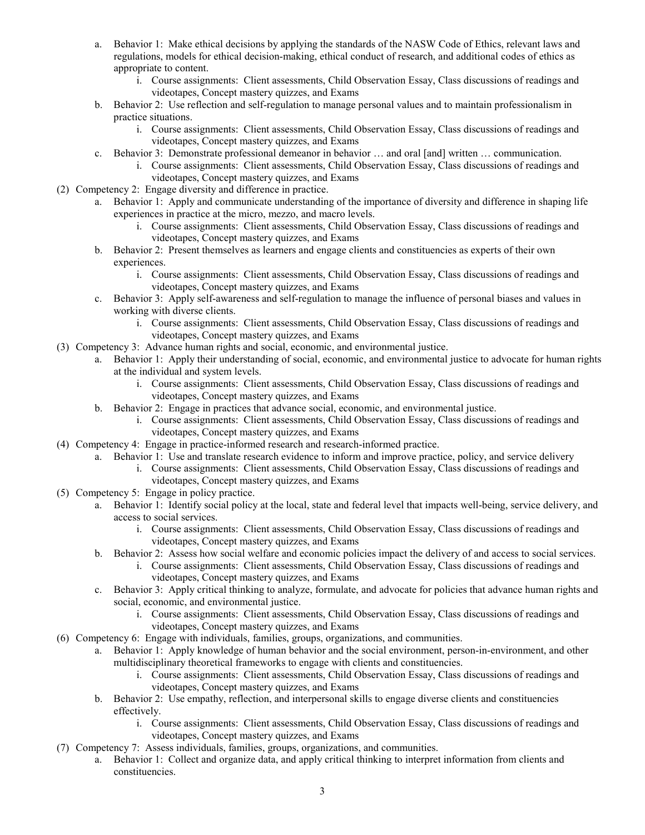- a. Behavior 1: Make ethical decisions by applying the standards of the NASW Code of Ethics, relevant laws and regulations, models for ethical decision-making, ethical conduct of research, and additional codes of ethics as appropriate to content.
	- i. Course assignments: Client assessments, Child Observation Essay, Class discussions of readings and videotapes, Concept mastery quizzes, and Exams
- b. Behavior 2: Use reflection and self-regulation to manage personal values and to maintain professionalism in practice situations.
	- i. Course assignments: Client assessments, Child Observation Essay, Class discussions of readings and videotapes, Concept mastery quizzes, and Exams
- c. Behavior 3: Demonstrate professional demeanor in behavior … and oral [and] written … communication.
	- i. Course assignments: Client assessments, Child Observation Essay, Class discussions of readings and videotapes, Concept mastery quizzes, and Exams
- (2) Competency 2: Engage diversity and difference in practice.
	- a. Behavior 1: Apply and communicate understanding of the importance of diversity and difference in shaping life experiences in practice at the micro, mezzo, and macro levels.
		- i. Course assignments: Client assessments, Child Observation Essay, Class discussions of readings and videotapes, Concept mastery quizzes, and Exams
	- b. Behavior 2: Present themselves as learners and engage clients and constituencies as experts of their own experiences.
		- i. Course assignments: Client assessments, Child Observation Essay, Class discussions of readings and videotapes, Concept mastery quizzes, and Exams
	- c. Behavior 3: Apply self-awareness and self-regulation to manage the influence of personal biases and values in working with diverse clients.
		- i. Course assignments: Client assessments, Child Observation Essay, Class discussions of readings and videotapes, Concept mastery quizzes, and Exams
- (3) Competency 3: Advance human rights and social, economic, and environmental justice.
	- a. Behavior 1: Apply their understanding of social, economic, and environmental justice to advocate for human rights at the individual and system levels.
		- i. Course assignments: Client assessments, Child Observation Essay, Class discussions of readings and videotapes, Concept mastery quizzes, and Exams
	- b. Behavior 2: Engage in practices that advance social, economic, and environmental justice.
		- i. Course assignments: Client assessments, Child Observation Essay, Class discussions of readings and videotapes, Concept mastery quizzes, and Exams
- (4) Competency 4: Engage in practice-informed research and research-informed practice.
	- a. Behavior 1: Use and translate research evidence to inform and improve practice, policy, and service delivery
		- i. Course assignments: Client assessments, Child Observation Essay, Class discussions of readings and videotapes, Concept mastery quizzes, and Exams
- (5) Competency 5: Engage in policy practice.
	- a. Behavior 1: Identify social policy at the local, state and federal level that impacts well-being, service delivery, and access to social services.
		- i. Course assignments: Client assessments, Child Observation Essay, Class discussions of readings and videotapes, Concept mastery quizzes, and Exams
	- b. Behavior 2: Assess how social welfare and economic policies impact the delivery of and access to social services.
		- i. Course assignments: Client assessments, Child Observation Essay, Class discussions of readings and videotapes, Concept mastery quizzes, and Exams
	- c. Behavior 3: Apply critical thinking to analyze, formulate, and advocate for policies that advance human rights and social, economic, and environmental justice.
		- i. Course assignments: Client assessments, Child Observation Essay, Class discussions of readings and videotapes, Concept mastery quizzes, and Exams
- (6) Competency 6: Engage with individuals, families, groups, organizations, and communities.
	- a. Behavior 1: Apply knowledge of human behavior and the social environment, person-in-environment, and other multidisciplinary theoretical frameworks to engage with clients and constituencies.
		- i. Course assignments: Client assessments, Child Observation Essay, Class discussions of readings and videotapes, Concept mastery quizzes, and Exams
		- b. Behavior 2: Use empathy, reflection, and interpersonal skills to engage diverse clients and constituencies effectively.
			- i. Course assignments: Client assessments, Child Observation Essay, Class discussions of readings and videotapes, Concept mastery quizzes, and Exams
- (7) Competency 7: Assess individuals, families, groups, organizations, and communities.
	- a. Behavior 1: Collect and organize data, and apply critical thinking to interpret information from clients and constituencies.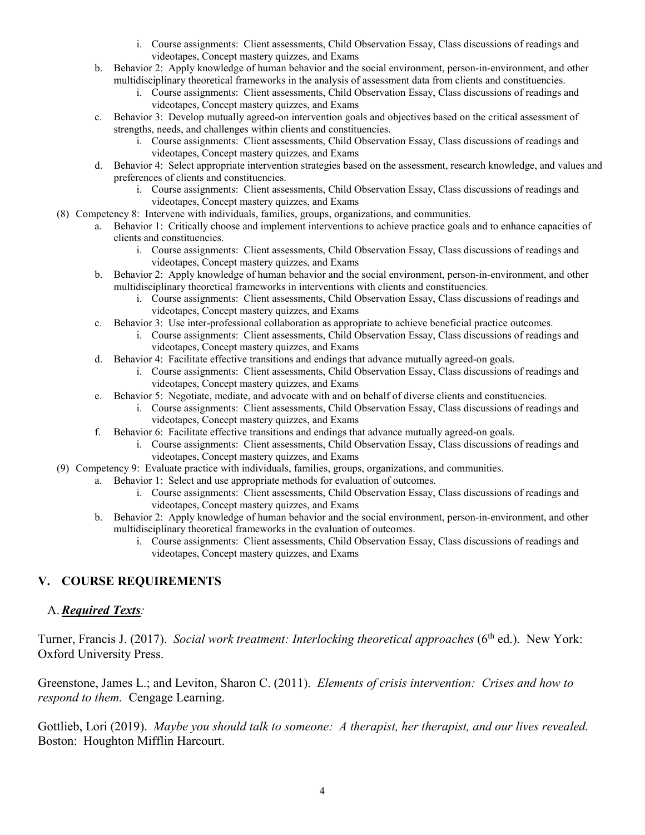- i. Course assignments: Client assessments, Child Observation Essay, Class discussions of readings and videotapes, Concept mastery quizzes, and Exams
- b. Behavior 2: Apply knowledge of human behavior and the social environment, person-in-environment, and other multidisciplinary theoretical frameworks in the analysis of assessment data from clients and constituencies.
	- i. Course assignments: Client assessments, Child Observation Essay, Class discussions of readings and videotapes, Concept mastery quizzes, and Exams
- c. Behavior 3: Develop mutually agreed-on intervention goals and objectives based on the critical assessment of strengths, needs, and challenges within clients and constituencies.
	- i. Course assignments: Client assessments, Child Observation Essay, Class discussions of readings and videotapes, Concept mastery quizzes, and Exams
- d. Behavior 4: Select appropriate intervention strategies based on the assessment, research knowledge, and values and preferences of clients and constituencies.
	- i. Course assignments: Client assessments, Child Observation Essay, Class discussions of readings and videotapes, Concept mastery quizzes, and Exams
- (8) Competency 8: Intervene with individuals, families, groups, organizations, and communities.
	- a. Behavior 1: Critically choose and implement interventions to achieve practice goals and to enhance capacities of clients and constituencies.
		- i. Course assignments: Client assessments, Child Observation Essay, Class discussions of readings and videotapes, Concept mastery quizzes, and Exams
	- b. Behavior 2: Apply knowledge of human behavior and the social environment, person-in-environment, and other multidisciplinary theoretical frameworks in interventions with clients and constituencies.
		- i. Course assignments: Client assessments, Child Observation Essay, Class discussions of readings and videotapes, Concept mastery quizzes, and Exams
	- c. Behavior 3: Use inter-professional collaboration as appropriate to achieve beneficial practice outcomes.
		- i. Course assignments: Client assessments, Child Observation Essay, Class discussions of readings and videotapes, Concept mastery quizzes, and Exams
	- d. Behavior 4: Facilitate effective transitions and endings that advance mutually agreed-on goals.
		- i. Course assignments: Client assessments, Child Observation Essay, Class discussions of readings and videotapes, Concept mastery quizzes, and Exams
	- e. Behavior 5: Negotiate, mediate, and advocate with and on behalf of diverse clients and constituencies.
		- i. Course assignments: Client assessments, Child Observation Essay, Class discussions of readings and videotapes, Concept mastery quizzes, and Exams
	- f. Behavior 6: Facilitate effective transitions and endings that advance mutually agreed-on goals.
		- i. Course assignments: Client assessments, Child Observation Essay, Class discussions of readings and videotapes, Concept mastery quizzes, and Exams
- (9) Competency 9: Evaluate practice with individuals, families, groups, organizations, and communities.
	- a. Behavior 1: Select and use appropriate methods for evaluation of outcomes.
		- i. Course assignments: Client assessments, Child Observation Essay, Class discussions of readings and videotapes, Concept mastery quizzes, and Exams
		- b. Behavior 2: Apply knowledge of human behavior and the social environment, person-in-environment, and other multidisciplinary theoretical frameworks in the evaluation of outcomes.
			- i. Course assignments: Client assessments, Child Observation Essay, Class discussions of readings and videotapes, Concept mastery quizzes, and Exams

## **V. COURSE REQUIREMENTS**

### A.*Required Texts:*

Turner, Francis J. (2017). *Social work treatment: Interlocking theoretical approaches* (6<sup>th</sup> ed.). New York: Oxford University Press.

Greenstone, James L.; and Leviton, Sharon C. (2011). *Elements of crisis intervention: Crises and how to respond to them.* Cengage Learning.

Gottlieb, Lori (2019). *Maybe you should talk to someone: A therapist, her therapist, and our lives revealed.*  Boston: Houghton Mifflin Harcourt.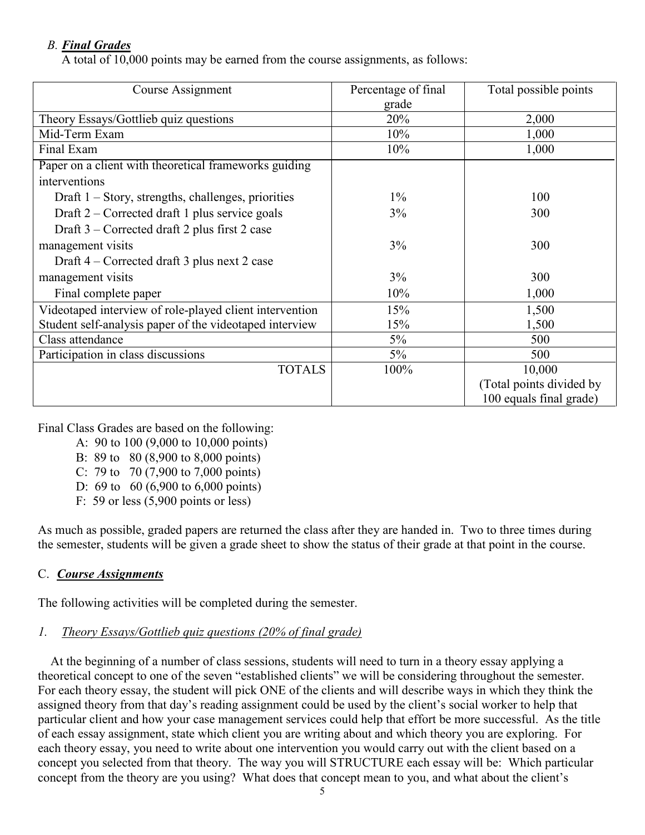# *B. Final Grades*

A total of 10,000 points may be earned from the course assignments, as follows:

| Course Assignment                                       | Percentage of final<br>grade | Total possible points    |
|---------------------------------------------------------|------------------------------|--------------------------|
| Theory Essays/Gottlieb quiz questions                   | 20%                          | 2,000                    |
| Mid-Term Exam                                           | 10%                          | 1,000                    |
| Final Exam                                              | 10%                          | 1,000                    |
| Paper on a client with theoretical frameworks guiding   |                              |                          |
| interventions                                           |                              |                          |
| Draft $1 -$ Story, strengths, challenges, priorities    | $1\%$                        | 100                      |
| Draft 2 – Corrected draft 1 plus service goals          | 3%                           | 300                      |
| Draft $3$ – Corrected draft 2 plus first 2 case         |                              |                          |
| management visits                                       | 3%                           | 300                      |
| Draft 4 – Corrected draft 3 plus next 2 case            |                              |                          |
| management visits                                       | 3%                           | 300                      |
| Final complete paper                                    | 10%                          | 1,000                    |
| Videotaped interview of role-played client intervention | 15%                          | 1,500                    |
| Student self-analysis paper of the videotaped interview | 15%                          | 1,500                    |
| Class attendance                                        | $5\%$                        | 500                      |
| Participation in class discussions                      | $5\%$                        | 500                      |
| <b>TOTALS</b>                                           | 100%                         | 10,000                   |
|                                                         |                              | (Total points divided by |
|                                                         |                              | 100 equals final grade)  |

Final Class Grades are based on the following:

A: 90 to 100 (9,000 to 10,000 points)

- B: 89 to 80 (8,900 to 8,000 points)
- C: 79 to 70 (7,900 to 7,000 points)
- D: 69 to 60 (6,900 to 6,000 points)
- F: 59 or less (5,900 points or less)

As much as possible, graded papers are returned the class after they are handed in. Two to three times during the semester, students will be given a grade sheet to show the status of their grade at that point in the course.

## C. *Course Assignments*

The following activities will be completed during the semester.

## *1. Theory Essays/Gottlieb quiz questions (20% of final grade)*

 At the beginning of a number of class sessions, students will need to turn in a theory essay applying a theoretical concept to one of the seven "established clients" we will be considering throughout the semester. For each theory essay, the student will pick ONE of the clients and will describe ways in which they think the assigned theory from that day's reading assignment could be used by the client's social worker to help that particular client and how your case management services could help that effort be more successful. As the title of each essay assignment, state which client you are writing about and which theory you are exploring. For each theory essay, you need to write about one intervention you would carry out with the client based on a concept you selected from that theory. The way you will STRUCTURE each essay will be: Which particular concept from the theory are you using? What does that concept mean to you, and what about the client's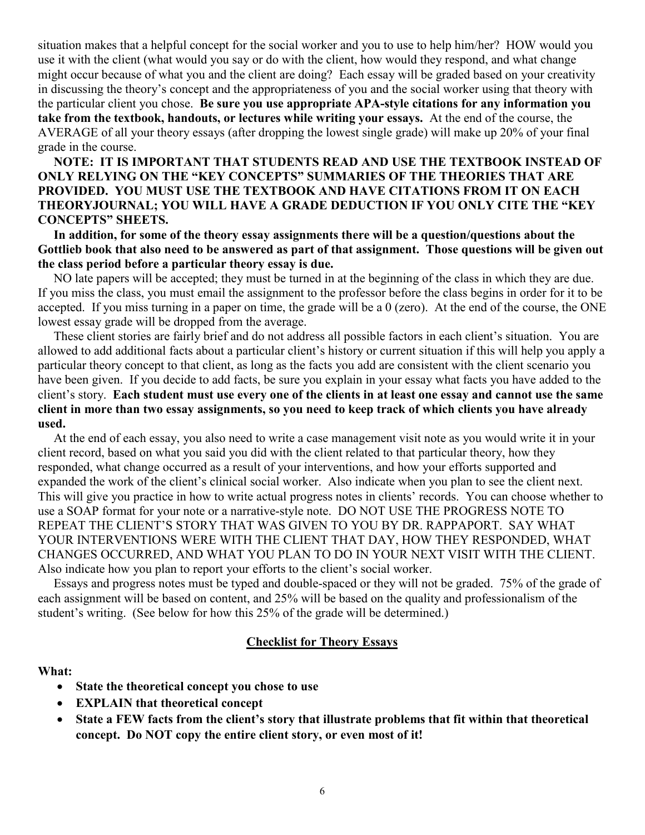situation makes that a helpful concept for the social worker and you to use to help him/her? HOW would you use it with the client (what would you say or do with the client, how would they respond, and what change might occur because of what you and the client are doing? Each essay will be graded based on your creativity in discussing the theory's concept and the appropriateness of you and the social worker using that theory with the particular client you chose. **Be sure you use appropriate APA-style citations for any information you take from the textbook, handouts, or lectures while writing your essays.** At the end of the course, the AVERAGE of all your theory essays (after dropping the lowest single grade) will make up 20% of your final grade in the course.

 **NOTE: IT IS IMPORTANT THAT STUDENTS READ AND USE THE TEXTBOOK INSTEAD OF ONLY RELYING ON THE "KEY CONCEPTS" SUMMARIES OF THE THEORIES THAT ARE PROVIDED. YOU MUST USE THE TEXTBOOK AND HAVE CITATIONS FROM IT ON EACH THEORYJOURNAL; YOU WILL HAVE A GRADE DEDUCTION IF YOU ONLY CITE THE "KEY CONCEPTS" SHEETS.**

 **In addition, for some of the theory essay assignments there will be a question/questions about the Gottlieb book that also need to be answered as part of that assignment. Those questions will be given out the class period before a particular theory essay is due.**

 NO late papers will be accepted; they must be turned in at the beginning of the class in which they are due. If you miss the class, you must email the assignment to the professor before the class begins in order for it to be accepted. If you miss turning in a paper on time, the grade will be a 0 (zero). At the end of the course, the ONE lowest essay grade will be dropped from the average.

 These client stories are fairly brief and do not address all possible factors in each client's situation. You are allowed to add additional facts about a particular client's history or current situation if this will help you apply a particular theory concept to that client, as long as the facts you add are consistent with the client scenario you have been given. If you decide to add facts, be sure you explain in your essay what facts you have added to the client's story. **Each student must use every one of the clients in at least one essay and cannot use the same client in more than two essay assignments, so you need to keep track of which clients you have already used.** 

 At the end of each essay, you also need to write a case management visit note as you would write it in your client record, based on what you said you did with the client related to that particular theory, how they responded, what change occurred as a result of your interventions, and how your efforts supported and expanded the work of the client's clinical social worker. Also indicate when you plan to see the client next. This will give you practice in how to write actual progress notes in clients' records. You can choose whether to use a SOAP format for your note or a narrative-style note. DO NOT USE THE PROGRESS NOTE TO REPEAT THE CLIENT'S STORY THAT WAS GIVEN TO YOU BY DR. RAPPAPORT. SAY WHAT YOUR INTERVENTIONS WERE WITH THE CLIENT THAT DAY, HOW THEY RESPONDED, WHAT CHANGES OCCURRED, AND WHAT YOU PLAN TO DO IN YOUR NEXT VISIT WITH THE CLIENT. Also indicate how you plan to report your efforts to the client's social worker.

 Essays and progress notes must be typed and double-spaced or they will not be graded. 75% of the grade of each assignment will be based on content, and 25% will be based on the quality and professionalism of the student's writing. (See below for how this 25% of the grade will be determined.)

### **Checklist for Theory Essays**

#### **What:**

- **State the theoretical concept you chose to use**
- **EXPLAIN that theoretical concept**
- **State a FEW facts from the client's story that illustrate problems that fit within that theoretical concept. Do NOT copy the entire client story, or even most of it!**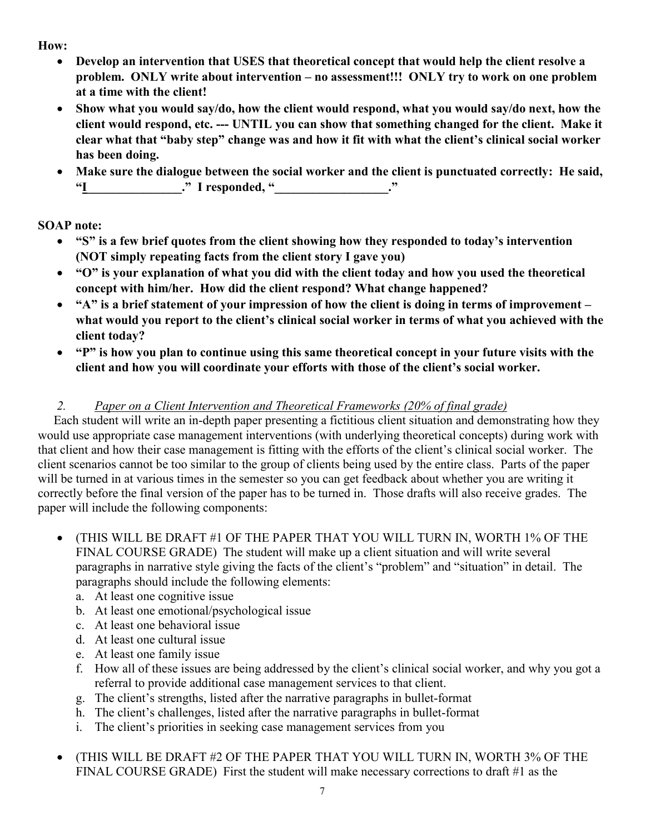**How:**

- **Develop an intervention that USES that theoretical concept that would help the client resolve a problem. ONLY write about intervention – no assessment!!! ONLY try to work on one problem at a time with the client!**
- **Show what you would say/do, how the client would respond, what you would say/do next, how the client would respond, etc. --- UNTIL you can show that something changed for the client. Make it clear what that "baby step" change was and how it fit with what the client's clinical social worker has been doing.**
- **Make sure the dialogue between the social worker and the client is punctuated correctly: He said,**  "I responded, "

**SOAP note:**

- **"S" is a few brief quotes from the client showing how they responded to today's intervention (NOT simply repeating facts from the client story I gave you)**
- **"O" is your explanation of what you did with the client today and how you used the theoretical concept with him/her. How did the client respond? What change happened?**
- **"A" is a brief statement of your impression of how the client is doing in terms of improvement – what would you report to the client's clinical social worker in terms of what you achieved with the client today?**
- **"P" is how you plan to continue using this same theoretical concept in your future visits with the client and how you will coordinate your efforts with those of the client's social worker.**

# *2. Paper on a Client Intervention and Theoretical Frameworks (20% of final grade)*

 Each student will write an in-depth paper presenting a fictitious client situation and demonstrating how they would use appropriate case management interventions (with underlying theoretical concepts) during work with that client and how their case management is fitting with the efforts of the client's clinical social worker. The client scenarios cannot be too similar to the group of clients being used by the entire class. Parts of the paper will be turned in at various times in the semester so you can get feedback about whether you are writing it correctly before the final version of the paper has to be turned in. Those drafts will also receive grades. The paper will include the following components:

- (THIS WILL BE DRAFT #1 OF THE PAPER THAT YOU WILL TURN IN, WORTH 1% OF THE FINAL COURSE GRADE) The student will make up a client situation and will write several paragraphs in narrative style giving the facts of the client's "problem" and "situation" in detail. The paragraphs should include the following elements:
	- a. At least one cognitive issue
	- b. At least one emotional/psychological issue
	- c. At least one behavioral issue
	- d. At least one cultural issue
	- e. At least one family issue
	- f. How all of these issues are being addressed by the client's clinical social worker, and why you got a referral to provide additional case management services to that client.
	- g. The client's strengths, listed after the narrative paragraphs in bullet-format
	- h. The client's challenges, listed after the narrative paragraphs in bullet-format
	- i. The client's priorities in seeking case management services from you
- (THIS WILL BE DRAFT #2 OF THE PAPER THAT YOU WILL TURN IN, WORTH 3% OF THE FINAL COURSE GRADE) First the student will make necessary corrections to draft #1 as the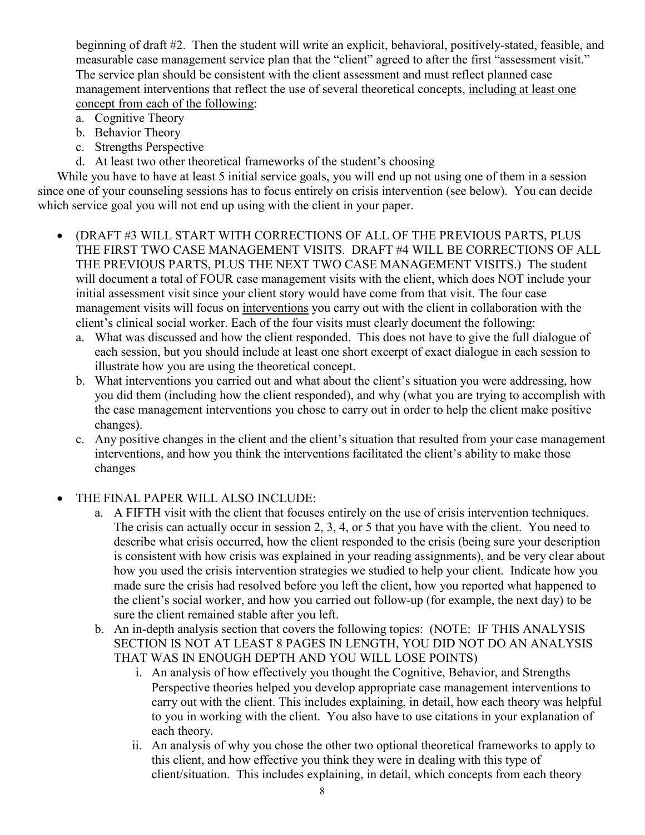beginning of draft #2. Then the student will write an explicit, behavioral, positively-stated, feasible, and measurable case management service plan that the "client" agreed to after the first "assessment visit." The service plan should be consistent with the client assessment and must reflect planned case management interventions that reflect the use of several theoretical concepts, including at least one concept from each of the following:

- a. Cognitive Theory
- b. Behavior Theory
- c. Strengths Perspective
- d. At least two other theoretical frameworks of the student's choosing

While you have to have at least 5 initial service goals, you will end up not using one of them in a session since one of your counseling sessions has to focus entirely on crisis intervention (see below). You can decide which service goal you will not end up using with the client in your paper.

- (DRAFT #3 WILL START WITH CORRECTIONS OF ALL OF THE PREVIOUS PARTS, PLUS THE FIRST TWO CASE MANAGEMENT VISITS. DRAFT #4 WILL BE CORRECTIONS OF ALL THE PREVIOUS PARTS, PLUS THE NEXT TWO CASE MANAGEMENT VISITS.) The student will document a total of FOUR case management visits with the client, which does NOT include your initial assessment visit since your client story would have come from that visit. The four case management visits will focus on interventions you carry out with the client in collaboration with the client's clinical social worker. Each of the four visits must clearly document the following:
	- a. What was discussed and how the client responded. This does not have to give the full dialogue of each session, but you should include at least one short excerpt of exact dialogue in each session to illustrate how you are using the theoretical concept.
	- b. What interventions you carried out and what about the client's situation you were addressing, how you did them (including how the client responded), and why (what you are trying to accomplish with the case management interventions you chose to carry out in order to help the client make positive changes).
	- c. Any positive changes in the client and the client's situation that resulted from your case management interventions, and how you think the interventions facilitated the client's ability to make those changes

## THE FINAL PAPER WILL ALSO INCLUDE:

- a. A FIFTH visit with the client that focuses entirely on the use of crisis intervention techniques. The crisis can actually occur in session 2, 3, 4, or 5 that you have with the client. You need to describe what crisis occurred, how the client responded to the crisis (being sure your description is consistent with how crisis was explained in your reading assignments), and be very clear about how you used the crisis intervention strategies we studied to help your client. Indicate how you made sure the crisis had resolved before you left the client, how you reported what happened to the client's social worker, and how you carried out follow-up (for example, the next day) to be sure the client remained stable after you left.
- b. An in-depth analysis section that covers the following topics: (NOTE: IF THIS ANALYSIS SECTION IS NOT AT LEAST 8 PAGES IN LENGTH, YOU DID NOT DO AN ANALYSIS THAT WAS IN ENOUGH DEPTH AND YOU WILL LOSE POINTS)
	- i. An analysis of how effectively you thought the Cognitive, Behavior, and Strengths Perspective theories helped you develop appropriate case management interventions to carry out with the client. This includes explaining, in detail, how each theory was helpful to you in working with the client. You also have to use citations in your explanation of each theory.
	- ii. An analysis of why you chose the other two optional theoretical frameworks to apply to this client, and how effective you think they were in dealing with this type of client/situation. This includes explaining, in detail, which concepts from each theory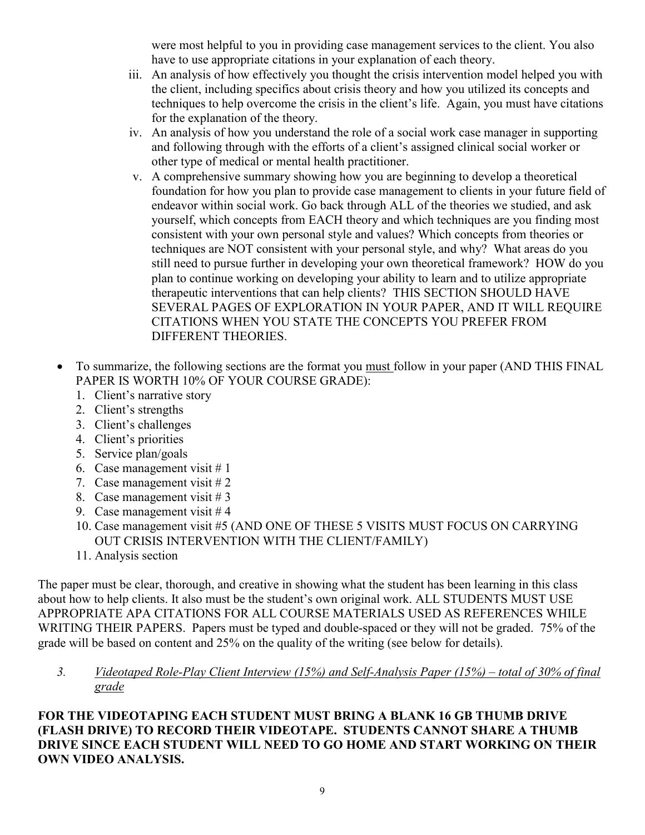were most helpful to you in providing case management services to the client. You also have to use appropriate citations in your explanation of each theory.

- iii. An analysis of how effectively you thought the crisis intervention model helped you with the client, including specifics about crisis theory and how you utilized its concepts and techniques to help overcome the crisis in the client's life. Again, you must have citations for the explanation of the theory.
- iv. An analysis of how you understand the role of a social work case manager in supporting and following through with the efforts of a client's assigned clinical social worker or other type of medical or mental health practitioner.
- v. A comprehensive summary showing how you are beginning to develop a theoretical foundation for how you plan to provide case management to clients in your future field of endeavor within social work. Go back through ALL of the theories we studied, and ask yourself, which concepts from EACH theory and which techniques are you finding most consistent with your own personal style and values? Which concepts from theories or techniques are NOT consistent with your personal style, and why? What areas do you still need to pursue further in developing your own theoretical framework? HOW do you plan to continue working on developing your ability to learn and to utilize appropriate therapeutic interventions that can help clients? THIS SECTION SHOULD HAVE SEVERAL PAGES OF EXPLORATION IN YOUR PAPER, AND IT WILL REQUIRE CITATIONS WHEN YOU STATE THE CONCEPTS YOU PREFER FROM DIFFERENT THEORIES.
- To summarize, the following sections are the format you must follow in your paper (AND THIS FINAL PAPER IS WORTH 10% OF YOUR COURSE GRADE):
	- 1. Client's narrative story
	- 2. Client's strengths
	- 3. Client's challenges
	- 4. Client's priorities
	- 5. Service plan/goals
	- 6. Case management visit  $# 1$
	- 7. Case management visit  $#2$
	- 8. Case management visit # 3
	- 9. Case management visit  $#4$
	- 10. Case management visit #5 (AND ONE OF THESE 5 VISITS MUST FOCUS ON CARRYING OUT CRISIS INTERVENTION WITH THE CLIENT/FAMILY)
	- 11. Analysis section

The paper must be clear, thorough, and creative in showing what the student has been learning in this class about how to help clients. It also must be the student's own original work. ALL STUDENTS MUST USE APPROPRIATE APA CITATIONS FOR ALL COURSE MATERIALS USED AS REFERENCES WHILE WRITING THEIR PAPERS. Papers must be typed and double-spaced or they will not be graded. 75% of the grade will be based on content and 25% on the quality of the writing (see below for details).

## *3. Videotaped Role-Play Client Interview (15%) and Self-Analysis Paper (15%) – total of 30% of final grade*

**FOR THE VIDEOTAPING EACH STUDENT MUST BRING A BLANK 16 GB THUMB DRIVE (FLASH DRIVE) TO RECORD THEIR VIDEOTAPE. STUDENTS CANNOT SHARE A THUMB DRIVE SINCE EACH STUDENT WILL NEED TO GO HOME AND START WORKING ON THEIR OWN VIDEO ANALYSIS.**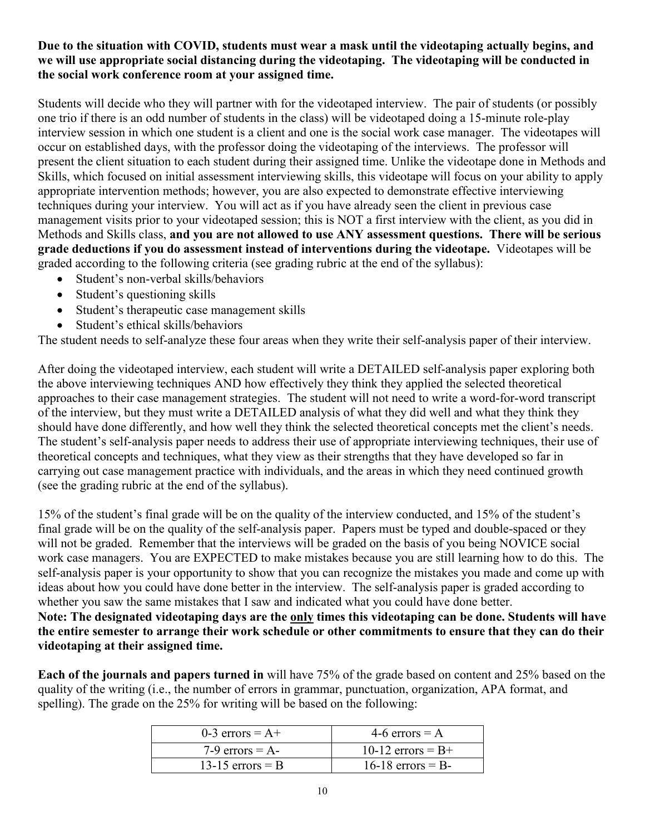# **Due to the situation with COVID, students must wear a mask until the videotaping actually begins, and we will use appropriate social distancing during the videotaping. The videotaping will be conducted in the social work conference room at your assigned time.**

Students will decide who they will partner with for the videotaped interview. The pair of students (or possibly one trio if there is an odd number of students in the class) will be videotaped doing a 15-minute role-play interview session in which one student is a client and one is the social work case manager. The videotapes will occur on established days, with the professor doing the videotaping of the interviews. The professor will present the client situation to each student during their assigned time. Unlike the videotape done in Methods and Skills, which focused on initial assessment interviewing skills, this videotape will focus on your ability to apply appropriate intervention methods; however, you are also expected to demonstrate effective interviewing techniques during your interview. You will act as if you have already seen the client in previous case management visits prior to your videotaped session; this is NOT a first interview with the client, as you did in Methods and Skills class, **and you are not allowed to use ANY assessment questions. There will be serious grade deductions if you do assessment instead of interventions during the videotape.** Videotapes will be graded according to the following criteria (see grading rubric at the end of the syllabus):

- Student's non-verbal skills/behaviors
- Student's questioning skills
- Student's therapeutic case management skills
- Student's ethical skills/behaviors

The student needs to self-analyze these four areas when they write their self-analysis paper of their interview.

After doing the videotaped interview, each student will write a DETAILED self-analysis paper exploring both the above interviewing techniques AND how effectively they think they applied the selected theoretical approaches to their case management strategies. The student will not need to write a word-for-word transcript of the interview, but they must write a DETAILED analysis of what they did well and what they think they should have done differently, and how well they think the selected theoretical concepts met the client's needs. The student's self-analysis paper needs to address their use of appropriate interviewing techniques, their use of theoretical concepts and techniques, what they view as their strengths that they have developed so far in carrying out case management practice with individuals, and the areas in which they need continued growth (see the grading rubric at the end of the syllabus).

15% of the student's final grade will be on the quality of the interview conducted, and 15% of the student's final grade will be on the quality of the self-analysis paper. Papers must be typed and double-spaced or they will not be graded. Remember that the interviews will be graded on the basis of you being NOVICE social work case managers. You are EXPECTED to make mistakes because you are still learning how to do this. The self-analysis paper is your opportunity to show that you can recognize the mistakes you made and come up with ideas about how you could have done better in the interview. The self-analysis paper is graded according to whether you saw the same mistakes that I saw and indicated what you could have done better.

**Note: The designated videotaping days are the only times this videotaping can be done. Students will have the entire semester to arrange their work schedule or other commitments to ensure that they can do their videotaping at their assigned time.**

**Each of the journals and papers turned in** will have 75% of the grade based on content and 25% based on the quality of the writing (i.e., the number of errors in grammar, punctuation, organization, APA format, and spelling). The grade on the 25% for writing will be based on the following:

| 0-3 errors $= A +$ | 4-6 errors $= A$    |
|--------------------|---------------------|
| $7-9$ errors = A-  | 10-12 errors $= B+$ |
| 13-15 errors $=$ B | $16-18$ errors = B- |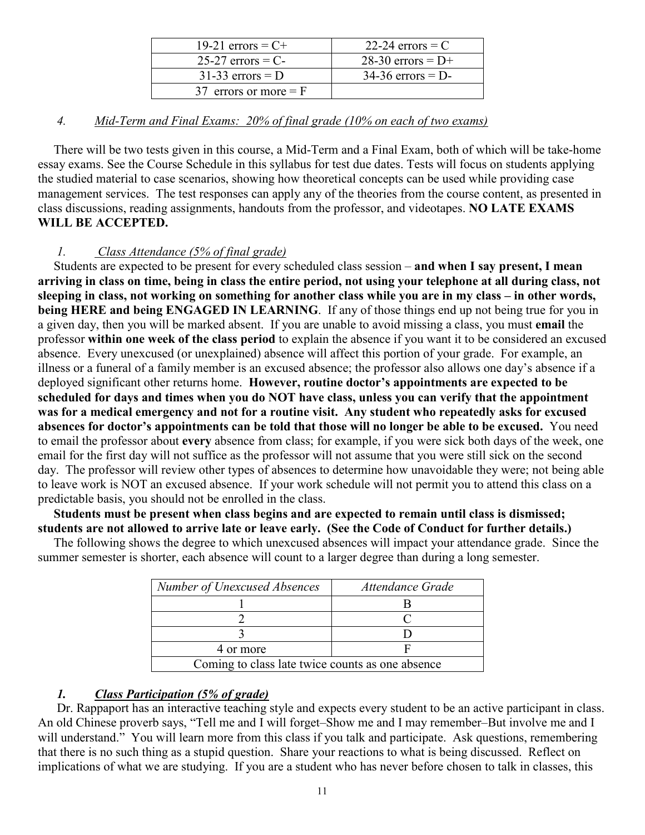| 19-21 errors = $C^+$    | 22-24 errors $=$ C  |
|-------------------------|---------------------|
| $25-27$ errors = C-     | 28-30 errors = $D+$ |
| $31-33$ errors = D      | $34-36$ errors = D- |
| 37 errors or more $=$ F |                     |

## *4. Mid-Term and Final Exams: 20% of final grade (10% on each of two exams)*

 There will be two tests given in this course, a Mid-Term and a Final Exam, both of which will be take-home essay exams. See the Course Schedule in this syllabus for test due dates. Tests will focus on students applying the studied material to case scenarios, showing how theoretical concepts can be used while providing case management services. The test responses can apply any of the theories from the course content, as presented in class discussions, reading assignments, handouts from the professor, and videotapes. **NO LATE EXAMS WILL BE ACCEPTED.**

# *1. Class Attendance (5% of final grade)*

 Students are expected to be present for every scheduled class session – **and when I say present, I mean arriving in class on time, being in class the entire period, not using your telephone at all during class, not sleeping in class, not working on something for another class while you are in my class – in other words, being HERE and being ENGAGED IN LEARNING**. If any of those things end up not being true for you in a given day, then you will be marked absent. If you are unable to avoid missing a class, you must **email** the professor **within one week of the class period** to explain the absence if you want it to be considered an excused absence. Every unexcused (or unexplained) absence will affect this portion of your grade. For example, an illness or a funeral of a family member is an excused absence; the professor also allows one day's absence if a deployed significant other returns home. **However, routine doctor's appointments are expected to be scheduled for days and times when you do NOT have class, unless you can verify that the appointment was for a medical emergency and not for a routine visit. Any student who repeatedly asks for excused absences for doctor's appointments can be told that those will no longer be able to be excused.** You need to email the professor about **every** absence from class; for example, if you were sick both days of the week, one email for the first day will not suffice as the professor will not assume that you were still sick on the second day. The professor will review other types of absences to determine how unavoidable they were; not being able to leave work is NOT an excused absence. If your work schedule will not permit you to attend this class on a predictable basis, you should not be enrolled in the class.

 **Students must be present when class begins and are expected to remain until class is dismissed; students are not allowed to arrive late or leave early. (See the Code of Conduct for further details.)** 

The following shows the degree to which unexcused absences will impact your attendance grade. Since the summer semester is shorter, each absence will count to a larger degree than during a long semester.

| Number of Unexcused Absences                     | Attendance Grade |  |
|--------------------------------------------------|------------------|--|
|                                                  |                  |  |
|                                                  |                  |  |
|                                                  |                  |  |
| 4 or more                                        |                  |  |
| Coming to class late twice counts as one absence |                  |  |

# *1. Class Participation (5% of grade)*

Dr. Rappaport has an interactive teaching style and expects every student to be an active participant in class. An old Chinese proverb says, "Tell me and I will forget–Show me and I may remember–But involve me and I will understand." You will learn more from this class if you talk and participate. Ask questions, remembering that there is no such thing as a stupid question. Share your reactions to what is being discussed. Reflect on implications of what we are studying. If you are a student who has never before chosen to talk in classes, this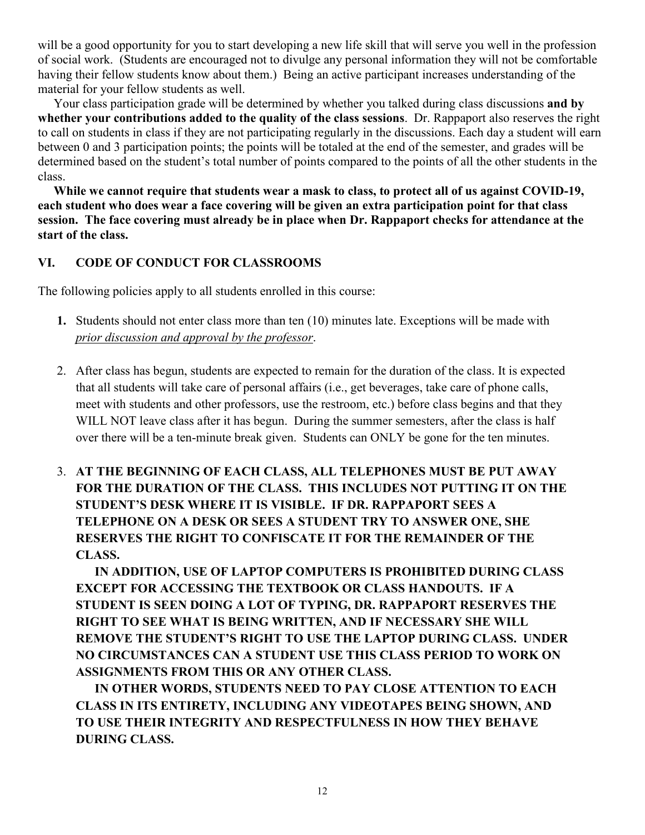will be a good opportunity for you to start developing a new life skill that will serve you well in the profession of social work. (Students are encouraged not to divulge any personal information they will not be comfortable having their fellow students know about them.) Being an active participant increases understanding of the material for your fellow students as well.

 Your class participation grade will be determined by whether you talked during class discussions **and by whether your contributions added to the quality of the class sessions**. Dr. Rappaport also reserves the right to call on students in class if they are not participating regularly in the discussions. Each day a student will earn between 0 and 3 participation points; the points will be totaled at the end of the semester, and grades will be determined based on the student's total number of points compared to the points of all the other students in the class.

 **While we cannot require that students wear a mask to class, to protect all of us against COVID-19, each student who does wear a face covering will be given an extra participation point for that class session. The face covering must already be in place when Dr. Rappaport checks for attendance at the start of the class.** 

# **VI. CODE OF CONDUCT FOR CLASSROOMS**

The following policies apply to all students enrolled in this course:

- **1.** Students should not enter class more than ten (10) minutes late. Exceptions will be made with *prior discussion and approval by the professor*.
- 2. After class has begun, students are expected to remain for the duration of the class. It is expected that all students will take care of personal affairs (i.e., get beverages, take care of phone calls, meet with students and other professors, use the restroom, etc.) before class begins and that they WILL NOT leave class after it has begun. During the summer semesters, after the class is half over there will be a ten-minute break given. Students can ONLY be gone for the ten minutes.
- 3. **AT THE BEGINNING OF EACH CLASS, ALL TELEPHONES MUST BE PUT AWAY FOR THE DURATION OF THE CLASS. THIS INCLUDES NOT PUTTING IT ON THE STUDENT'S DESK WHERE IT IS VISIBLE. IF DR. RAPPAPORT SEES A TELEPHONE ON A DESK OR SEES A STUDENT TRY TO ANSWER ONE, SHE RESERVES THE RIGHT TO CONFISCATE IT FOR THE REMAINDER OF THE CLASS.**

**IN ADDITION, USE OF LAPTOP COMPUTERS IS PROHIBITED DURING CLASS EXCEPT FOR ACCESSING THE TEXTBOOK OR CLASS HANDOUTS. IF A STUDENT IS SEEN DOING A LOT OF TYPING, DR. RAPPAPORT RESERVES THE RIGHT TO SEE WHAT IS BEING WRITTEN, AND IF NECESSARY SHE WILL REMOVE THE STUDENT'S RIGHT TO USE THE LAPTOP DURING CLASS. UNDER NO CIRCUMSTANCES CAN A STUDENT USE THIS CLASS PERIOD TO WORK ON ASSIGNMENTS FROM THIS OR ANY OTHER CLASS.** 

**IN OTHER WORDS, STUDENTS NEED TO PAY CLOSE ATTENTION TO EACH CLASS IN ITS ENTIRETY, INCLUDING ANY VIDEOTAPES BEING SHOWN, AND TO USE THEIR INTEGRITY AND RESPECTFULNESS IN HOW THEY BEHAVE DURING CLASS.**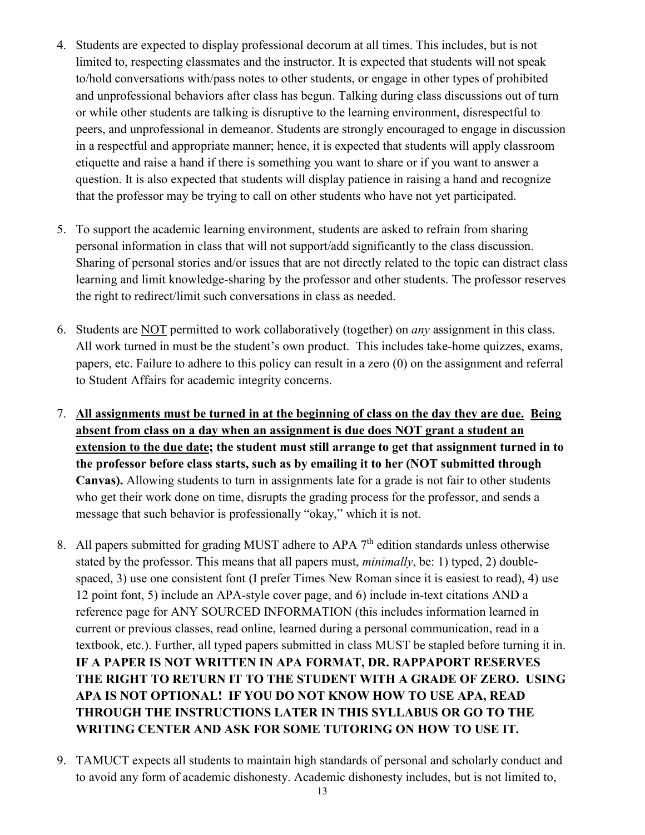- 4. Students are expected to display professional decorum at all times. This includes, but is not limited to, respecting classmates and the instructor. It is expected that students will not speak to/hold conversations with/pass notes to other students, or engage in other types of prohibited and unprofessional behaviors after class has begun. Talking during class discussions out of turn or while other students are talking is disruptive to the learning environment, disrespectful to peers, and unprofessional in demeanor. Students are strongly encouraged to engage in discussion in a respectful and appropriate manner; hence, it is expected that students will apply classroom etiquette and raise a hand if there is something you want to share or if you want to answer a question. It is also expected that students will display patience in raising a hand and recognize that the professor may be trying to call on other students who have not yet participated.
- 5. To support the academic learning environment, students are asked to refrain from sharing personal information in class that will not support/add significantly to the class discussion. Sharing of personal stories and/or issues that are not directly related to the topic can distract class learning and limit knowledge-sharing by the professor and other students. The professor reserves the right to redirect/limit such conversations in class as needed.
- 6. Students are NOT permitted to work collaboratively (together) on *any* assignment in this class. All work turned in must be the student's own product. This includes take-home quizzes, exams, papers, etc. Failure to adhere to this policy can result in a zero (0) on the assignment and referral to Student Affairs for academic integrity concerns.
- 7. **All assignments must be turned in at the beginning of class on the day they are due. Being absent from class on a day when an assignment is due does NOT grant a student an extension to the due date; the student must still arrange to get that assignment turned in to the professor before class starts, such as by emailing it to her (NOT submitted through Canvas).** Allowing students to turn in assignments late for a grade is not fair to other students who get their work done on time, disrupts the grading process for the professor, and sends a message that such behavior is professionally "okay," which it is not.
- 8. All papers submitted for grading MUST adhere to APA  $7<sup>th</sup>$  edition standards unless otherwise stated by the professor. This means that all papers must, *minimally*, be: 1) typed, 2) doublespaced, 3) use one consistent font (I prefer Times New Roman since it is easiest to read), 4) use 12 point font, 5) include an APA-style cover page, and 6) include in-text citations AND a reference page for ANY SOURCED INFORMATION (this includes information learned in current or previous classes, read online, learned during a personal communication, read in a textbook, etc.). Further, all typed papers submitted in class MUST be stapled before turning it in. **IF A PAPER IS NOT WRITTEN IN APA FORMAT, DR. RAPPAPORT RESERVES THE RIGHT TO RETURN IT TO THE STUDENT WITH A GRADE OF ZERO. USING APA IS NOT OPTIONAL! IF YOU DO NOT KNOW HOW TO USE APA, READ THROUGH THE INSTRUCTIONS LATER IN THIS SYLLABUS OR GO TO THE WRITING CENTER AND ASK FOR SOME TUTORING ON HOW TO USE IT.**
- 9. TAMUCT expects all students to maintain high standards of personal and scholarly conduct and to avoid any form of academic dishonesty. Academic dishonesty includes, but is not limited to,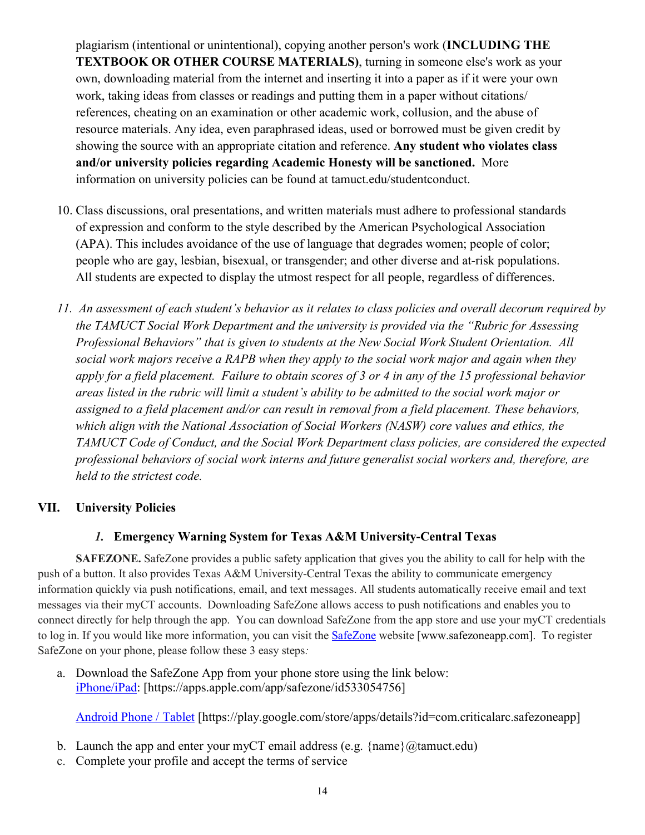plagiarism (intentional or unintentional), copying another person's work (**INCLUDING THE TEXTBOOK OR OTHER COURSE MATERIALS)**, turning in someone else's work as your own, downloading material from the internet and inserting it into a paper as if it were your own work, taking ideas from classes or readings and putting them in a paper without citations/ references, cheating on an examination or other academic work, collusion, and the abuse of resource materials. Any idea, even paraphrased ideas, used or borrowed must be given credit by showing the source with an appropriate citation and reference. **Any student who violates class and/or university policies regarding Academic Honesty will be sanctioned.** More information on university policies can be found at tamuct.edu/studentconduct.

- 10. Class discussions, oral presentations, and written materials must adhere to professional standards of expression and conform to the style described by the American Psychological Association (APA). This includes avoidance of the use of language that degrades women; people of color; people who are gay, lesbian, bisexual, or transgender; and other diverse and at-risk populations. All students are expected to display the utmost respect for all people, regardless of differences.
- *11. An assessment of each student's behavior as it relates to class policies and overall decorum required by the TAMUCT Social Work Department and the university is provided via the "Rubric for Assessing Professional Behaviors" that is given to students at the New Social Work Student Orientation. All social work majors receive a RAPB when they apply to the social work major and again when they apply for a field placement. Failure to obtain scores of 3 or 4 in any of the 15 professional behavior areas listed in the rubric will limit a student's ability to be admitted to the social work major or assigned to a field placement and/or can result in removal from a field placement. These behaviors, which align with the National Association of Social Workers (NASW) core values and ethics, the TAMUCT Code of Conduct, and the Social Work Department class policies, are considered the expected professional behaviors of social work interns and future generalist social workers and, therefore, are held to the strictest code.*

## **VII. University Policies**

## *1.* **Emergency Warning System for Texas A&M University-Central Texas**

**SAFEZONE.** SafeZone provides a public safety application that gives you the ability to call for help with the push of a button. It also provides Texas A&M University-Central Texas the ability to communicate emergency information quickly via push notifications, email, and text messages. All students automatically receive email and text messages via their myCT accounts. Downloading SafeZone allows access to push notifications and enables you to connect directly for help through the app. You can download SafeZone from the app store and use your myCT credentials to log in. If you would like more information, you can visit the **[SafeZone](http://www.safezoneapp.com/)** website [www.safezoneapp.com]. To register SafeZone on your phone, please follow these 3 easy steps*:*

a. Download the SafeZone App from your phone store using the link below: [iPhone/iPad:](https://apps.apple.com/app/safezone/id533054756) [https://apps.apple.com/app/safezone/id533054756]

[Android Phone / Tablet](https://play.google.com/store/apps/details?id=com.criticalarc.safezoneapp) [https://play.google.com/store/apps/details?id=com.criticalarc.safezoneapp]

- b. Launch the app and enter your myCT email address (e.g.  $\{\text{name}\}\langle\omega\rangle$  tamuct.edu)
- c. Complete your profile and accept the terms of service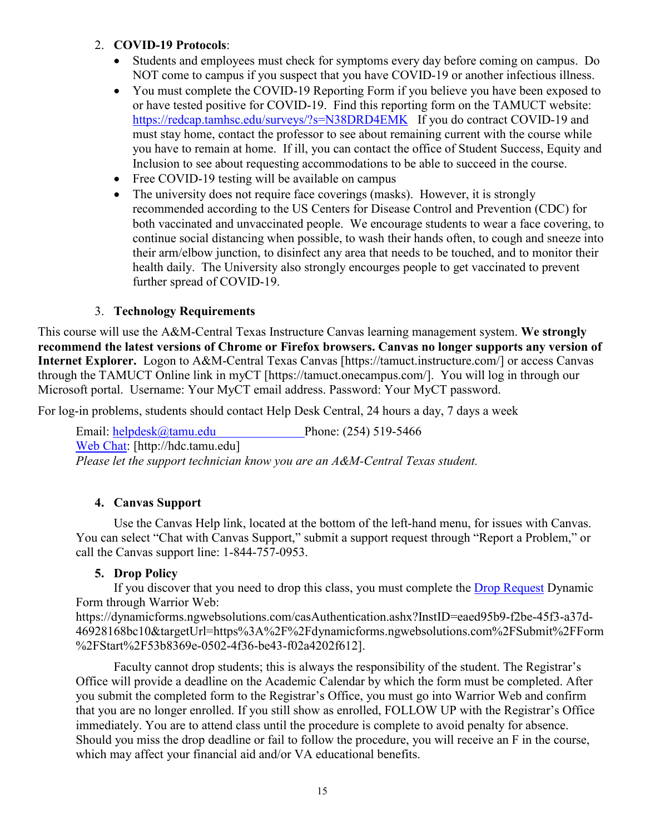## 2. **COVID-19 Protocols**:

- Students and employees must check for symptoms every day before coming on campus. Do NOT come to campus if you suspect that you have COVID-19 or another infectious illness.
- You must complete the COVID-19 Reporting Form if you believe you have been exposed to or have tested positive for COVID-19. Find this reporting form on the TAMUCT website: <https://redcap.tamhsc.edu/surveys/?s=N38DRD4EMK>If you do contract COVID-19 and must stay home, contact the professor to see about remaining current with the course while you have to remain at home. If ill, you can contact the office of Student Success, Equity and Inclusion to see about requesting accommodations to be able to succeed in the course.
- Free COVID-19 testing will be available on campus
- The university does not require face coverings (masks). However, it is strongly recommended according to the US Centers for Disease Control and Prevention (CDC) for both vaccinated and unvaccinated people. We encourage students to wear a face covering, to continue social distancing when possible, to wash their hands often, to cough and sneeze into their arm/elbow junction, to disinfect any area that needs to be touched, and to monitor their health daily. The University also strongly encourges people to get vaccinated to prevent further spread of COVID-19.

# 3. **Technology Requirements**

This course will use the A&M-Central Texas Instructure Canvas learning management system. **We strongly recommend the latest versions of Chrome or Firefox browsers. Canvas no longer supports any version of Internet Explorer.** Logon to A&M-Central Texas Canvas [https://tamuct.instructure.com/] or access Canvas through the TAMUCT Online link in myCT [https://tamuct.onecampus.com/]. You will log in through our Microsoft portal. Username: Your MyCT email address. Password: Your MyCT password.

For log-in problems, students should contact Help Desk Central, 24 hours a day, 7 days a week

Email: [helpdesk@tamu.edu](mailto:helpdesk@tamu.edu) Phone: (254) 519-5466 [Web Chat:](http://hdc.tamu.edu/) [http://hdc.tamu.edu] *Please let the support technician know you are an A&M-Central Texas student.*

# **4. Canvas Support**

Use the Canvas Help link, located at the bottom of the left-hand menu, for issues with Canvas. You can select "Chat with Canvas Support," submit a support request through "Report a Problem," or call the Canvas support line: 1-844-757-0953.

# **5. Drop Policy**

If you discover that you need to drop this class, you must complete the [Drop Request](https://dynamicforms.ngwebsolutions.com/casAuthentication.ashx?InstID=eaed95b9-f2be-45f3-a37d-46928168bc10&targetUrl=https%3A%2F%2Fdynamicforms.ngwebsolutions.com%2FSubmit%2FForm%2FStart%2F53b8369e-0502-4f36-be43-f02a4202f612) Dynamic Form through Warrior Web:

https://dynamicforms.ngwebsolutions.com/casAuthentication.ashx?InstID=eaed95b9-f2be-45f3-a37d-46928168bc10&targetUrl=https%3A%2F%2Fdynamicforms.ngwebsolutions.com%2FSubmit%2FForm %2FStart%2F53b8369e-0502-4f36-be43-f02a4202f612].

Faculty cannot drop students; this is always the responsibility of the student. The Registrar's Office will provide a deadline on the Academic Calendar by which the form must be completed. After you submit the completed form to the Registrar's Office, you must go into Warrior Web and confirm that you are no longer enrolled. If you still show as enrolled, FOLLOW UP with the Registrar's Office immediately. You are to attend class until the procedure is complete to avoid penalty for absence. Should you miss the drop deadline or fail to follow the procedure, you will receive an F in the course, which may affect your financial aid and/or VA educational benefits.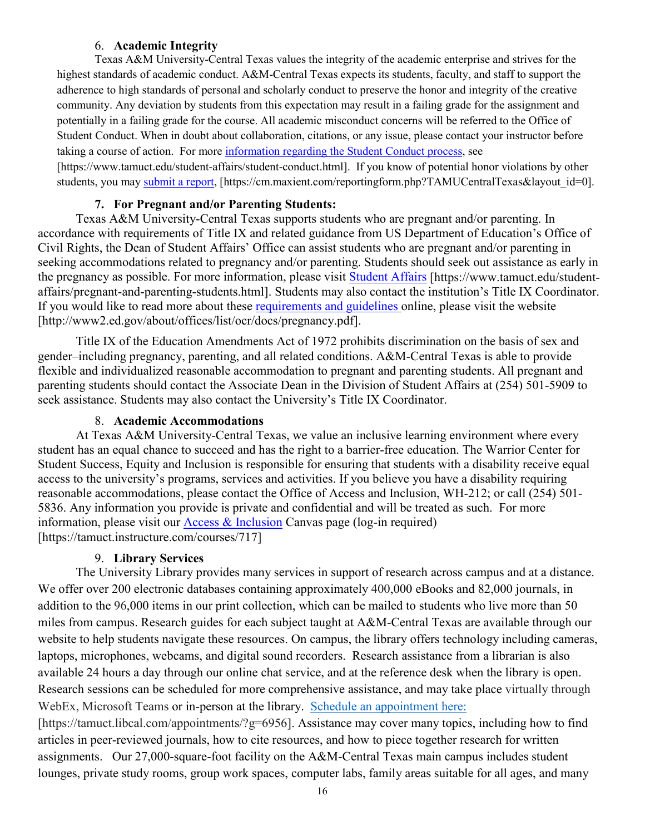### 6. **Academic Integrity**

Texas A&M University-Central Texas values the integrity of the academic enterprise and strives for the highest standards of academic conduct. A&M-Central Texas expects its students, faculty, and staff to support the adherence to high standards of personal and scholarly conduct to preserve the honor and integrity of the creative community. Any deviation by students from this expectation may result in a failing grade for the assignment and potentially in a failing grade for the course. All academic misconduct concerns will be referred to the Office of Student Conduct. When in doubt about collaboration, citations, or any issue, please contact your instructor before taking a course of action. For more [information](https://nam04.safelinks.protection.outlook.com/?url=https%3A%2F%2Fwww.tamuct.edu%2Fstudent-affairs%2Fstudent-conduct.html&data=04%7C01%7Clisa.bunkowski%40tamuct.edu%7Ccfb6e486f24745f53e1a08d910055cb2%7C9eed4e3000f744849ff193ad8005acec%7C0%7C0%7C637558437485252160%7CUnknown%7CTWFpbGZsb3d8eyJWIjoiMC4wLjAwMDAiLCJQIjoiV2luMzIiLCJBTiI6Ik1haWwiLCJXVCI6Mn0%3D%7C1000&sdata=yjftDEVHvLX%2FhM%2FcFU0B99krV1RgEWR%2BJ%2BhvtoR6TYk%3D&reserved=0) regarding the Student Conduct process, see

[https://www.tamuct.edu/student-affairs/student-conduct.html]. If you know of potential honor violations by other students, you may [submit](https://nam04.safelinks.protection.outlook.com/?url=https%3A%2F%2Fcm.maxient.com%2Freportingform.php%3FTAMUCentralTexas%26layout_id%3D0&data=04%7C01%7Clisa.bunkowski%40tamuct.edu%7Ccfb6e486f24745f53e1a08d910055cb2%7C9eed4e3000f744849ff193ad8005acec%7C0%7C0%7C637558437485262157%7CUnknown%7CTWFpbGZsb3d8eyJWIjoiMC4wLjAwMDAiLCJQIjoiV2luMzIiLCJBTiI6Ik1haWwiLCJXVCI6Mn0%3D%7C1000&sdata=CXGkOa6uPDPX1IMZ87z3aZDq2n91xfHKu4MMS43Ejjk%3D&reserved=0) a report, [https://cm.maxient.com/reportingform.php?TAMUCentralTexas&layout\_id=0].

## **7. For Pregnant and/or Parenting Students:**

Texas A&M University-Central Texas supports students who are pregnant and/or parenting. In accordance with requirements of Title IX and related guidance from US Department of Education's Office of Civil Rights, the Dean of Student Affairs' Office can assist students who are pregnant and/or parenting in seeking accommodations related to pregnancy and/or parenting. Students should seek out assistance as early in the pregnancy as possible. For more information, please visit [Student Affairs](https://www.tamuct.edu/student-affairs/pregnant-and-parenting-students.html) [https://www.tamuct.edu/studentaffairs/pregnant-and-parenting-students.html]. Students may also contact the institution's Title IX Coordinator. If you would like to read more about these [requirements and guidelines](http://www2.ed.gov/about/offices/list/ocr/docs/pregnancy.pdf) online, please visit the website [http://www2.ed.gov/about/offices/list/ocr/docs/pregnancy.pdf].

Title IX of the Education Amendments Act of 1972 prohibits discrimination on the basis of sex and gender–including pregnancy, parenting, and all related conditions. A&M-Central Texas is able to provide flexible and individualized reasonable accommodation to pregnant and parenting students. All pregnant and parenting students should contact the Associate Dean in the Division of Student Affairs at (254) 501-5909 to seek assistance. Students may also contact the University's Title IX Coordinator.

#### 8. **Academic Accommodations**

At Texas A&M University-Central Texas, we value an inclusive learning environment where every student has an equal chance to succeed and has the right to a barrier-free education. The Warrior Center for Student Success, Equity and Inclusion is responsible for ensuring that students with a disability receive equal access to the university's programs, services and activities. If you believe you have a disability requiring reasonable accommodations, please contact the Office of Access and Inclusion, WH-212; or call (254) 501- 5836. Any information you provide is private and confidential and will be treated as such. For more information, please visit our Access  $\&$  Inclusion Canvas page (log-in required) [https://tamuct.instructure.com/courses/717]

### 9. **Library Services**

The University Library provides many services in support of research across campus and at a distance. We offer over 200 electronic databases containing approximately 400,000 eBooks and 82,000 journals, in addition to the 96,000 items in our print collection, which can be mailed to students who live more than 50 miles from campus. Research guides for each subject taught at A&M-Central Texas are available through our website to help students navigate these resources. On campus, the library offers technology including cameras, laptops, microphones, webcams, and digital sound recorders. Research assistance from a librarian is also available 24 hours a day through our online chat service, and at the reference desk when the library is open. Research sessions can be scheduled for more comprehensive assistance, and may take place virtually through WebEx, Microsoft Teams or in-person at the library. Schedule an [appointment](https://nam04.safelinks.protection.outlook.com/?url=https%3A%2F%2Ftamuct.libcal.com%2Fappointments%2F%3Fg%3D6956&data=04%7C01%7Clisa.bunkowski%40tamuct.edu%7Cde2c07d9f5804f09518008d9ab7ba6ff%7C9eed4e3000f744849ff193ad8005acec%7C0%7C0%7C637729369835011558%7CUnknown%7CTWFpbGZsb3d8eyJWIjoiMC4wLjAwMDAiLCJQIjoiV2luMzIiLCJBTiI6Ik1haWwiLCJXVCI6Mn0%3D%7C3000&sdata=KhtjgRSAw9aq%2FoBsB6wyu8b7PSuGN5EGPypzr3Ty2No%3D&reserved=0) here: [https://tamuct.libcal.com/appointments/?g=6956]. Assistance may cover many topics, including how to find

articles in peer-reviewed journals, how to cite resources, and how to piece together research for written assignments. Our 27,000-square-foot facility on the A&M-Central Texas main campus includes student lounges, private study rooms, group work spaces, computer labs, family areas suitable for all ages, and many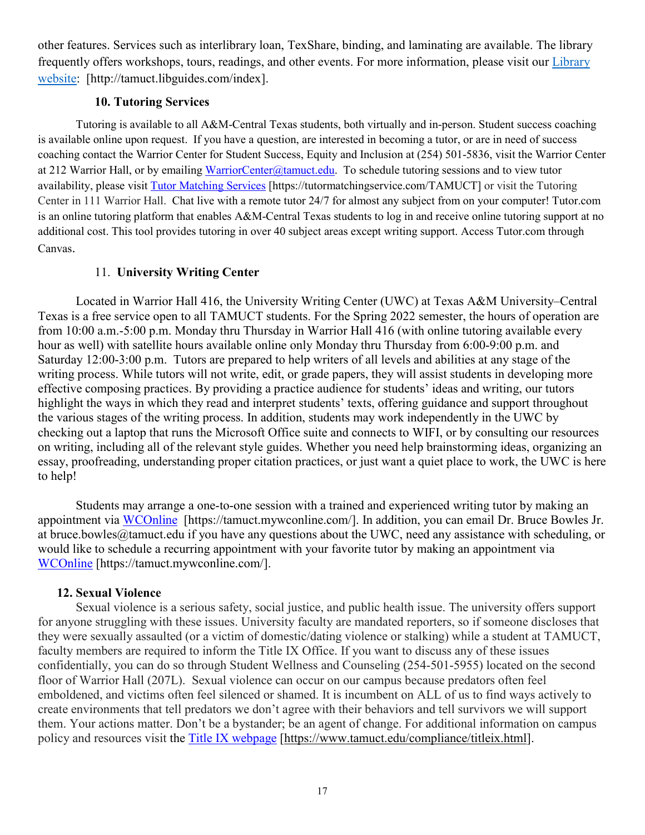other features. Services such as interlibrary loan, TexShare, binding, and laminating are available. The library frequently offers workshops, tours, readings, and other events. For more information, please visit our [Library](https://nam04.safelinks.protection.outlook.com/?url=https%3A%2F%2Ftamuct.libguides.com%2Findex&data=04%7C01%7Clisa.bunkowski%40tamuct.edu%7C7d8489e8839a4915335f08d916f067f2%7C9eed4e3000f744849ff193ad8005acec%7C0%7C0%7C637566044056484222%7CUnknown%7CTWFpbGZsb3d8eyJWIjoiMC4wLjAwMDAiLCJQIjoiV2luMzIiLCJBTiI6Ik1haWwiLCJXVCI6Mn0%3D%7C1000&sdata=2R755V6rcIyedGrd4Os5rkgn1PvhHKU3kUV1vBKiHFo%3D&reserved=0) [website:](https://nam04.safelinks.protection.outlook.com/?url=https%3A%2F%2Ftamuct.libguides.com%2Findex&data=04%7C01%7Clisa.bunkowski%40tamuct.edu%7C7d8489e8839a4915335f08d916f067f2%7C9eed4e3000f744849ff193ad8005acec%7C0%7C0%7C637566044056484222%7CUnknown%7CTWFpbGZsb3d8eyJWIjoiMC4wLjAwMDAiLCJQIjoiV2luMzIiLCJBTiI6Ik1haWwiLCJXVCI6Mn0%3D%7C1000&sdata=2R755V6rcIyedGrd4Os5rkgn1PvhHKU3kUV1vBKiHFo%3D&reserved=0) [http://tamuct.libguides.com/index].

### **10. Tutoring Services**

Tutoring is available to all A&M-Central Texas students, both virtually and in-person. Student success coaching is available online upon request. If you have a question, are interested in becoming a tutor, or are in need of success coaching contact the Warrior Center for Student Success, Equity and Inclusion at (254) 501-5836, visit the Warrior Center at 212 Warrior Hall, or by emailing [WarriorCenter@tamuct.edu.](mailto:WarriorCenter@tamuct.edu) To schedule tutoring sessions and to view tutor availability, please visit Tutor [Matching](https://tutormatchingservice.com/TAMUCT) Services [https://tutormatchingservice.com/TAMUCT] or visit the Tutoring Center in 111 Warrior Hall. Chat live with a remote tutor 24/7 for almost any subject from on your computer! Tutor.com is an online tutoring platform that enables A&M-Central Texas students to log in and receive online tutoring support at no additional cost. This tool provides tutoring in over 40 subject areas except writing support. Access Tutor.com through Canvas.

### 11. **University Writing Center**

Located in Warrior Hall 416, the University Writing Center (UWC) at Texas A&M University–Central Texas is a free service open to all TAMUCT students. For the Spring 2022 semester, the hours of operation are from 10:00 a.m.-5:00 p.m. Monday thru Thursday in Warrior Hall 416 (with online tutoring available every hour as well) with satellite hours available online only Monday thru Thursday from 6:00-9:00 p.m. and Saturday 12:00-3:00 p.m. Tutors are prepared to help writers of all levels and abilities at any stage of the writing process. While tutors will not write, edit, or grade papers, they will assist students in developing more effective composing practices. By providing a practice audience for students' ideas and writing, our tutors highlight the ways in which they read and interpret students' texts, offering guidance and support throughout the various stages of the writing process. In addition, students may work independently in the UWC by checking out a laptop that runs the Microsoft Office suite and connects to WIFI, or by consulting our resources on writing, including all of the relevant style guides. Whether you need help brainstorming ideas, organizing an essay, proofreading, understanding proper citation practices, or just want a quiet place to work, the UWC is here to help!

Students may arrange a one-to-one session with a trained and experienced writing tutor by making an appointment via [WCOnline](https://tamuct.mywconline.com/) [https://tamuct.mywconline.com/]. In addition, you can email Dr. Bruce Bowles Jr. at bruce.bowles@tamuct.edu if you have any questions about the UWC, need any assistance with scheduling, or would like to schedule a recurring appointment with your favorite tutor by making an appointment via [WCOnline](https://tamuct.mywconline.com/) [https://tamuct.mywconline.com/].

#### **12. Sexual Violence**

Sexual violence is a serious safety, social justice, and public health issue. The university offers support for anyone struggling with these issues. University faculty are mandated reporters, so if someone discloses that they were sexually assaulted (or a victim of domestic/dating violence or stalking) while a student at TAMUCT, faculty members are required to inform the Title IX Office. If you want to discuss any of these issues confidentially, you can do so through Student Wellness and Counseling (254-501-5955) located on the second floor of Warrior Hall (207L). Sexual violence can occur on our campus because predators often feel emboldened, and victims often feel silenced or shamed. It is incumbent on ALL of us to find ways actively to create environments that tell predators we don't agree with their behaviors and tell survivors we will support them. Your actions matter. Don't be a bystander; be an agent of change. For additional information on campus policy and resources visit the [Title IX webpage](https://www.tamuct.edu/compliance/titleix.html) [\[https://www.tamuct.edu/compliance/titleix.html\]](https://www.tamuct.edu/compliance/titleix.html).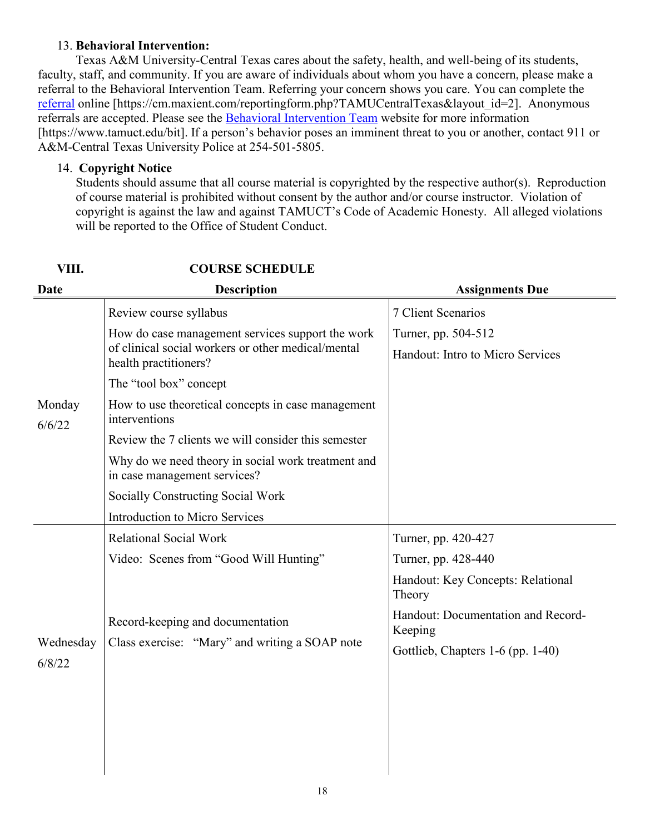## 13. **Behavioral Intervention:**

Texas A&M University-Central Texas cares about the safety, health, and well-being of its students, faculty, staff, and community. If you are aware of individuals about whom you have a concern, please make a referral to the Behavioral Intervention Team. Referring your concern shows you care. You can complete the [referral](https://cm.maxient.com/reportingform.php?TAMUCentralTexas&layout_id=2) online [https://cm.maxient.com/reportingform.php?TAMUCentralTexas&layout\_id=2]. Anonymous referrals are accepted. Please see the [Behavioral Intervention Team](https://www.tamuct.edu/bit) website for more information [https://www.tamuct.edu/bit]. If a person's behavior poses an imminent threat to you or another, contact 911 or A&M-Central Texas University Police at 254-501-5805.

## 14. **Copyright Notice**

Students should assume that all course material is copyrighted by the respective author(s). Reproduction of course material is prohibited without consent by the author and/or course instructor. Violation of copyright is against the law and against TAMUCT's Code of Academic Honesty. All alleged violations will be reported to the Office of Student Conduct.

| <b>Date</b>         | <b>Description</b>                                                                                                              | <b>Assignments Due</b>                        |
|---------------------|---------------------------------------------------------------------------------------------------------------------------------|-----------------------------------------------|
|                     | Review course syllabus                                                                                                          | 7 Client Scenarios                            |
|                     | How do case management services support the work<br>of clinical social workers or other medical/mental<br>health practitioners? | Turner, pp. 504-512                           |
|                     |                                                                                                                                 | Handout: Intro to Micro Services              |
|                     | The "tool box" concept                                                                                                          |                                               |
| Monday<br>6/6/22    | How to use theoretical concepts in case management<br>interventions                                                             |                                               |
|                     | Review the 7 clients we will consider this semester                                                                             |                                               |
|                     | Why do we need theory in social work treatment and<br>in case management services?                                              |                                               |
|                     | Socially Constructing Social Work                                                                                               |                                               |
|                     | <b>Introduction to Micro Services</b>                                                                                           |                                               |
|                     | <b>Relational Social Work</b>                                                                                                   | Turner, pp. 420-427                           |
|                     | Video: Scenes from "Good Will Hunting"                                                                                          | Turner, pp. 428-440                           |
| Wednesday<br>6/8/22 |                                                                                                                                 | Handout: Key Concepts: Relational<br>Theory   |
|                     | Record-keeping and documentation<br>Class exercise: "Mary" and writing a SOAP note                                              | Handout: Documentation and Record-<br>Keeping |
|                     |                                                                                                                                 | Gottlieb, Chapters 1-6 (pp. 1-40)             |
|                     |                                                                                                                                 |                                               |
|                     |                                                                                                                                 |                                               |
|                     |                                                                                                                                 |                                               |
|                     |                                                                                                                                 |                                               |
|                     |                                                                                                                                 |                                               |

# **VIII. COURSE SCHEDULE**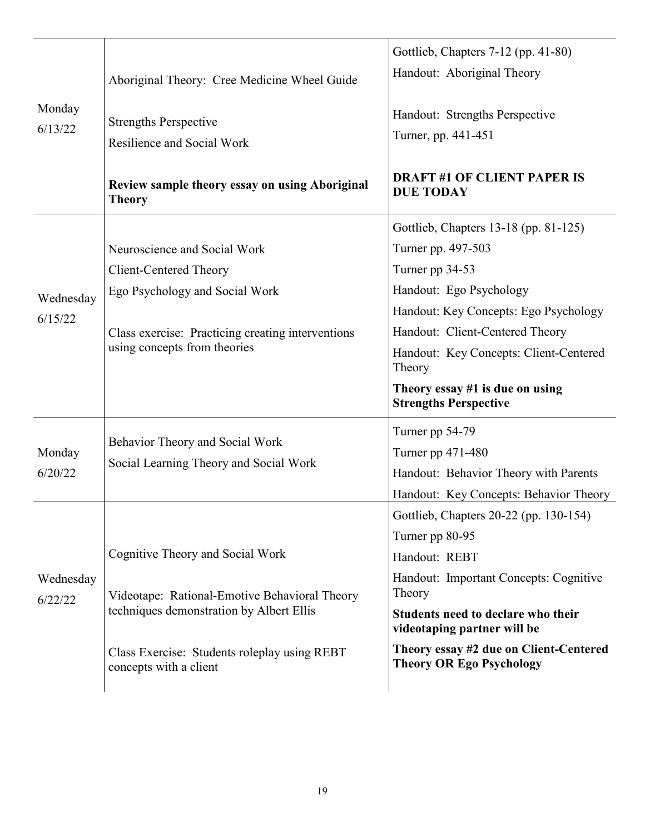| Monday<br>6/13/22    | Aboriginal Theory: Cree Medicine Wheel Guide<br><b>Strengths Perspective</b><br>Resilience and Social Work<br>Review sample theory essay on using Aboriginal<br><b>Theory</b>                           | Gottlieb, Chapters 7-12 (pp. 41-80)<br>Handout: Aboriginal Theory<br>Handout: Strengths Perspective<br>Turner, pp. 441-451<br><b>DRAFT #1 OF CLIENT PAPER IS</b><br><b>DUE TODAY</b>                                                                                                                           |
|----------------------|---------------------------------------------------------------------------------------------------------------------------------------------------------------------------------------------------------|----------------------------------------------------------------------------------------------------------------------------------------------------------------------------------------------------------------------------------------------------------------------------------------------------------------|
| Wednesday<br>6/15/22 | Neuroscience and Social Work<br><b>Client-Centered Theory</b><br>Ego Psychology and Social Work<br>Class exercise: Practicing creating interventions<br>using concepts from theories                    | Gottlieb, Chapters 13-18 (pp. 81-125)<br>Turner pp. 497-503<br>Turner pp 34-53<br>Handout: Ego Psychology<br>Handout: Key Concepts: Ego Psychology<br>Handout: Client-Centered Theory<br>Handout: Key Concepts: Client-Centered<br>Theory<br>Theory essay $#1$ is due on using<br><b>Strengths Perspective</b> |
| Monday<br>6/20/22    | Behavior Theory and Social Work<br>Social Learning Theory and Social Work                                                                                                                               | Turner pp 54-79<br>Turner pp 471-480<br>Handout: Behavior Theory with Parents<br>Handout: Key Concepts: Behavior Theory                                                                                                                                                                                        |
| Wednesday<br>6/22/22 | Cognitive Theory and Social Work<br>Videotape: Rational-Emotive Behavioral Theory<br>techniques demonstration by Albert Ellis<br>Class Exercise: Students roleplay using REBT<br>concepts with a client | Gottlieb, Chapters 20-22 (pp. 130-154)<br>Turner pp 80-95<br>Handout: REBT<br>Handout: Important Concepts: Cognitive<br>Theory<br>Students need to declare who their<br>videotaping partner will be<br>Theory essay #2 due on Client-Centered<br><b>Theory OR Ego Psychology</b>                               |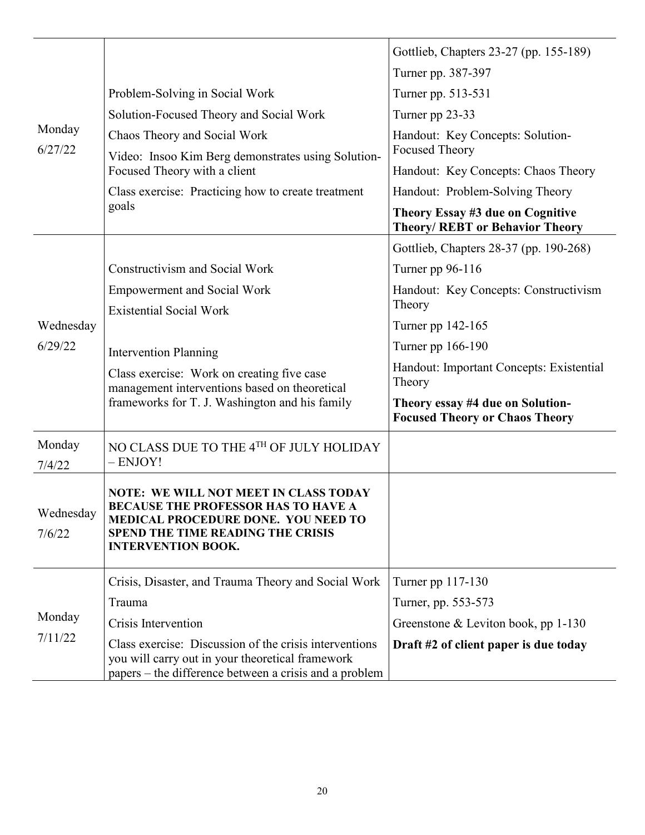|                     |                                                                                                                                                                                                     | Gottlieb, Chapters 23-27 (pp. 155-189)                                     |
|---------------------|-----------------------------------------------------------------------------------------------------------------------------------------------------------------------------------------------------|----------------------------------------------------------------------------|
| Monday              |                                                                                                                                                                                                     | Turner pp. 387-397                                                         |
|                     | Problem-Solving in Social Work                                                                                                                                                                      | Turner pp. 513-531                                                         |
|                     | Solution-Focused Theory and Social Work                                                                                                                                                             | Turner pp 23-33                                                            |
|                     | Chaos Theory and Social Work                                                                                                                                                                        | Handout: Key Concepts: Solution-                                           |
| 6/27/22             | Video: Insoo Kim Berg demonstrates using Solution-                                                                                                                                                  | <b>Focused Theory</b>                                                      |
|                     | Focused Theory with a client                                                                                                                                                                        | Handout: Key Concepts: Chaos Theory                                        |
|                     | Class exercise: Practicing how to create treatment<br>goals                                                                                                                                         | Handout: Problem-Solving Theory                                            |
|                     |                                                                                                                                                                                                     | Theory Essay #3 due on Cognitive<br><b>Theory/ REBT or Behavior Theory</b> |
|                     |                                                                                                                                                                                                     | Gottlieb, Chapters 28-37 (pp. 190-268)                                     |
|                     | <b>Constructivism and Social Work</b>                                                                                                                                                               | Turner pp 96-116                                                           |
|                     | <b>Empowerment and Social Work</b>                                                                                                                                                                  | Handout: Key Concepts: Constructivism                                      |
|                     | <b>Existential Social Work</b>                                                                                                                                                                      | Theory                                                                     |
| Wednesday           |                                                                                                                                                                                                     | Turner pp 142-165                                                          |
| 6/29/22             | <b>Intervention Planning</b>                                                                                                                                                                        | Turner pp 166-190                                                          |
|                     | Class exercise: Work on creating five case<br>management interventions based on theoretical                                                                                                         | Handout: Important Concepts: Existential<br>Theory                         |
|                     | frameworks for T. J. Washington and his family                                                                                                                                                      | Theory essay #4 due on Solution-<br><b>Focused Theory or Chaos Theory</b>  |
| Monday<br>7/4/22    | NO CLASS DUE TO THE $4^{\text{TH}}$ OF JULY HOLIDAY<br>- ENJOY!                                                                                                                                     |                                                                            |
| Wednesday<br>7/6/22 | <b>NOTE: WE WILL NOT MEET IN CLASS TODAY</b><br>BECAUSE THE PROFESSOR HAS TO HAVE A<br>MEDICAL PROCEDURE DONE. YOU NEED TO<br><b>SPEND THE TIME READING THE CRISIS</b><br><b>INTERVENTION BOOK.</b> |                                                                            |
|                     | Crisis, Disaster, and Trauma Theory and Social Work                                                                                                                                                 | Turner pp 117-130                                                          |
|                     | Trauma                                                                                                                                                                                              | Turner, pp. 553-573                                                        |
| Monday              | Crisis Intervention                                                                                                                                                                                 | Greenstone & Leviton book, pp $1-130$                                      |
| 7/11/22             | Class exercise: Discussion of the crisis interventions<br>you will carry out in your theoretical framework<br>papers – the difference between a crisis and a problem                                | Draft #2 of client paper is due today                                      |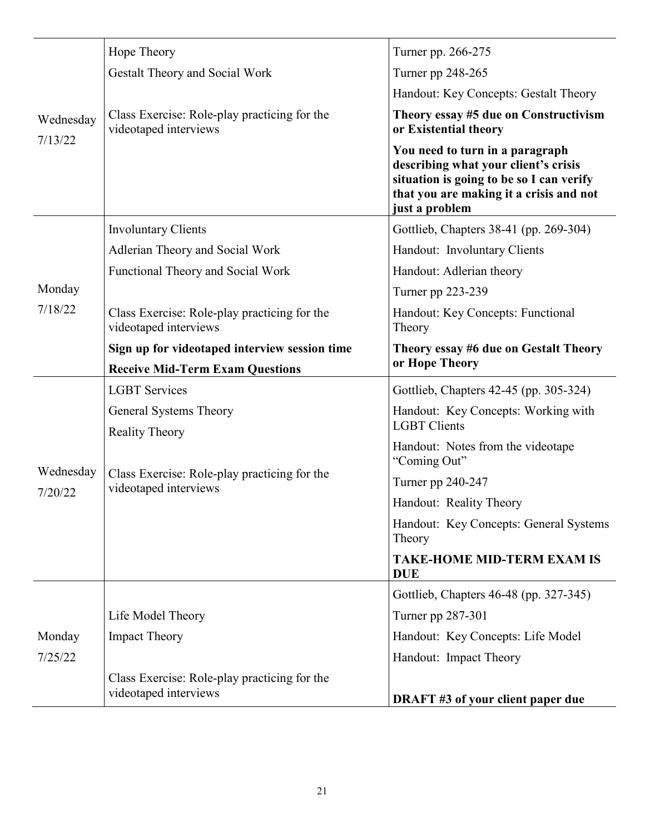|           | Hope Theory                                                                                    | Turner pp. 266-275                                                                                                                                                               |
|-----------|------------------------------------------------------------------------------------------------|----------------------------------------------------------------------------------------------------------------------------------------------------------------------------------|
| Wednesday | <b>Gestalt Theory and Social Work</b>                                                          | Turner pp 248-265                                                                                                                                                                |
|           |                                                                                                | Handout: Key Concepts: Gestalt Theory                                                                                                                                            |
|           | Class Exercise: Role-play practicing for the<br>videotaped interviews                          | Theory essay #5 due on Constructivism<br>or Existential theory                                                                                                                   |
| 7/13/22   |                                                                                                | You need to turn in a paragraph<br>describing what your client's crisis<br>situation is going to be so I can verify<br>that you are making it a crisis and not<br>just a problem |
|           | <b>Involuntary Clients</b>                                                                     | Gottlieb, Chapters 38-41 (pp. 269-304)                                                                                                                                           |
|           | Adlerian Theory and Social Work                                                                | Handout: Involuntary Clients                                                                                                                                                     |
|           | Functional Theory and Social Work                                                              | Handout: Adlerian theory                                                                                                                                                         |
| Monday    |                                                                                                | Turner pp 223-239                                                                                                                                                                |
| 7/18/22   | Class Exercise: Role-play practicing for the<br>videotaped interviews                          | Handout: Key Concepts: Functional<br>Theory                                                                                                                                      |
|           | Sign up for videotaped interview session time                                                  | Theory essay #6 due on Gestalt Theory                                                                                                                                            |
|           | <b>Receive Mid-Term Exam Questions</b>                                                         | or Hope Theory                                                                                                                                                                   |
|           | <b>LGBT</b> Services                                                                           | Gottlieb, Chapters 42-45 (pp. 305-324)                                                                                                                                           |
|           | General Systems Theory                                                                         | Handout: Key Concepts: Working with<br><b>LGBT</b> Clients                                                                                                                       |
| Wednesday | <b>Reality Theory</b><br>Class Exercise: Role-play practicing for the<br>videotaped interviews | Handout: Notes from the videotape<br>"Coming Out"                                                                                                                                |
|           |                                                                                                | Turner pp 240-247                                                                                                                                                                |
| 7/20/22   |                                                                                                | Handout: Reality Theory                                                                                                                                                          |
|           |                                                                                                | Handout: Key Concepts: General Systems<br>Theory                                                                                                                                 |
|           |                                                                                                | <b>TAKE-HOME MID-TERM EXAM IS</b><br><b>DUE</b>                                                                                                                                  |
|           |                                                                                                | Gottlieb, Chapters 46-48 (pp. 327-345)                                                                                                                                           |
|           | Life Model Theory                                                                              | Turner pp 287-301                                                                                                                                                                |
| Monday    | <b>Impact Theory</b>                                                                           | Handout: Key Concepts: Life Model                                                                                                                                                |
| 7/25/22   |                                                                                                | Handout: Impact Theory                                                                                                                                                           |
|           | Class Exercise: Role-play practicing for the<br>videotaped interviews                          | <b>DRAFT #3 of your client paper due</b>                                                                                                                                         |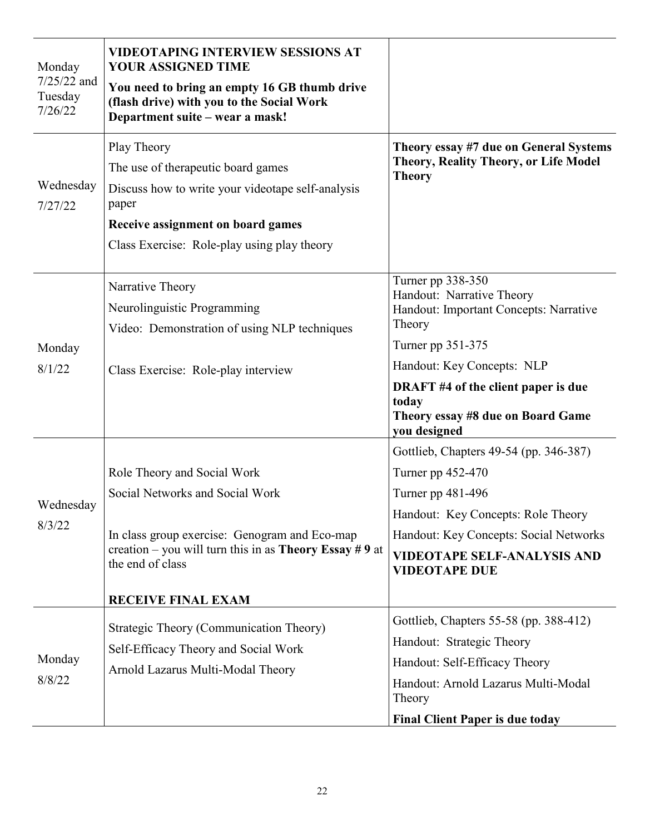| Monday<br>$7/25/22$ and<br>Tuesday<br>7/26/22 | <b>VIDEOTAPING INTERVIEW SESSIONS AT</b><br>YOUR ASSIGNED TIME<br>You need to bring an empty 16 GB thumb drive<br>(flash drive) with you to the Social Work<br>Department suite - wear a mask!                                    |                                                                                                                                                                                                                                                            |
|-----------------------------------------------|-----------------------------------------------------------------------------------------------------------------------------------------------------------------------------------------------------------------------------------|------------------------------------------------------------------------------------------------------------------------------------------------------------------------------------------------------------------------------------------------------------|
| Wednesday<br>7/27/22                          | Play Theory<br>The use of therapeutic board games<br>Discuss how to write your videotape self-analysis<br>paper<br>Receive assignment on board games<br>Class Exercise: Role-play using play theory                               | Theory essay #7 due on General Systems<br>Theory, Reality Theory, or Life Model<br><b>Theory</b>                                                                                                                                                           |
| Monday<br>8/1/22                              | Narrative Theory<br>Neurolinguistic Programming<br>Video: Demonstration of using NLP techniques<br>Class Exercise: Role-play interview                                                                                            | Turner pp 338-350<br>Handout: Narrative Theory<br>Handout: Important Concepts: Narrative<br>Theory<br>Turner pp 351-375<br>Handout: Key Concepts: NLP<br>DRAFT #4 of the client paper is due<br>today<br>Theory essay #8 due on Board Game<br>you designed |
| Wednesday<br>8/3/22                           | Role Theory and Social Work<br>Social Networks and Social Work<br>In class group exercise: Genogram and Eco-map<br>creation – you will turn this in as <b>Theory Essay</b> #9 at<br>the end of class<br><b>RECEIVE FINAL EXAM</b> | Gottlieb, Chapters 49-54 (pp. 346-387)<br>Turner pp 452-470<br>Turner pp 481-496<br>Handout: Key Concepts: Role Theory<br>Handout: Key Concepts: Social Networks<br><b>VIDEOTAPE SELF-ANALYSIS AND</b><br><b>VIDEOTAPE DUE</b>                             |
| Monday<br>8/8/22                              | Strategic Theory (Communication Theory)<br>Self-Efficacy Theory and Social Work<br>Arnold Lazarus Multi-Modal Theory                                                                                                              | Gottlieb, Chapters 55-58 (pp. 388-412)<br>Handout: Strategic Theory<br>Handout: Self-Efficacy Theory<br>Handout: Arnold Lazarus Multi-Modal<br>Theory<br><b>Final Client Paper is due today</b>                                                            |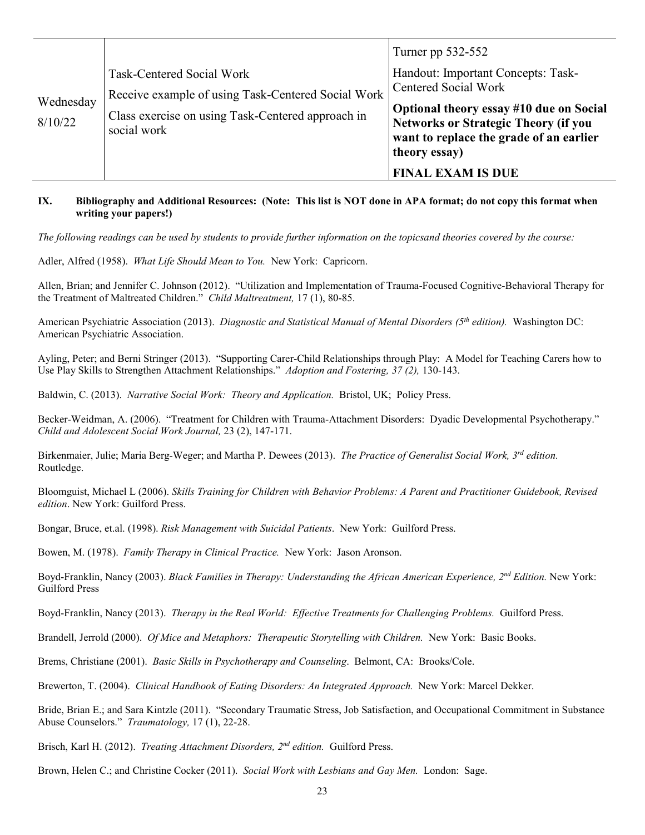|                      |                                                                                                                                                     | Turner pp 532-552                                                                                                                                  |
|----------------------|-----------------------------------------------------------------------------------------------------------------------------------------------------|----------------------------------------------------------------------------------------------------------------------------------------------------|
| Wednesday<br>8/10/22 | Task-Centered Social Work<br>Receive example of using Task-Centered Social Work<br>Class exercise on using Task-Centered approach in<br>social work | Handout: Important Concepts: Task-<br><b>Centered Social Work</b>                                                                                  |
|                      |                                                                                                                                                     | Optional theory essay #10 due on Social<br><b>Networks or Strategic Theory (if you</b><br>want to replace the grade of an earlier<br>theory essay) |
|                      |                                                                                                                                                     | <b>FINAL EXAM IS DUE</b>                                                                                                                           |

#### **IX. Bibliography and Additional Resources: (Note: This list is NOT done in APA format; do not copy this format when writing your papers!)**

*The following readings can be used by students to provide further information on the topicsand theories covered by the course:* 

Adler, Alfred (1958). *What Life Should Mean to You.* New York: Capricorn.

Allen, Brian; and Jennifer C. Johnson (2012). "Utilization and Implementation of Trauma-Focused Cognitive-Behavioral Therapy for the Treatment of Maltreated Children." *Child Maltreatment,* 17 (1), 80-85.

American Psychiatric Association (2013). *Diagnostic and Statistical Manual of Mental Disorders (5th edition).* Washington DC: American Psychiatric Association.

Ayling, Peter; and Berni Stringer (2013). "Supporting Carer-Child Relationships through Play: A Model for Teaching Carers how to Use Play Skills to Strengthen Attachment Relationships." *Adoption and Fostering, 37 (2),* 130-143.

Baldwin, C. (2013). *Narrative Social Work: Theory and Application.* Bristol, UK; Policy Press.

Becker-Weidman, A. (2006). "Treatment for Children with Trauma-Attachment Disorders: Dyadic Developmental Psychotherapy." *Child and Adolescent Social Work Journal,* 23 (2), 147-171.

Birkenmaier, Julie; Maria Berg-Weger; and Martha P. Dewees (2013). *The Practice of Generalist Social Work, 3rd edition.* Routledge.

Bloomguist, Michael L (2006). *Skills Training for Children with Behavior Problems: A Parent and Practitioner Guidebook, Revised edition*. New York: Guilford Press.

Bongar, Bruce, et.al. (1998). *Risk Management with Suicidal Patients*. New York: Guilford Press.

Bowen, M. (1978). *Family Therapy in Clinical Practice.* New York: Jason Aronson.

Boyd-Franklin, Nancy (2003). *Black Families in Therapy: Understanding the African American Experience, 2nd Edition.* New York: Guilford Press

Boyd-Franklin, Nancy (2013). *Therapy in the Real World: Effective Treatments for Challenging Problems.* Guilford Press.

Brandell, Jerrold (2000). *Of Mice and Metaphors: Therapeutic Storytelling with Children.* New York: Basic Books.

Brems, Christiane (2001). *Basic Skills in Psychotherapy and Counseling*. Belmont, CA: Brooks/Cole.

Brewerton, T. (2004). *Clinical Handbook of Eating Disorders: An Integrated Approach.* New York: Marcel Dekker.

Bride, Brian E.; and Sara Kintzle (2011). "Secondary Traumatic Stress, Job Satisfaction, and Occupational Commitment in Substance Abuse Counselors." *Traumatology,* 17 (1), 22-28.

Brisch, Karl H. (2012). *Treating Attachment Disorders, 2nd edition.* Guilford Press.

Brown, Helen C.; and Christine Cocker (2011). *Social Work with Lesbians and Gay Men.* London: Sage.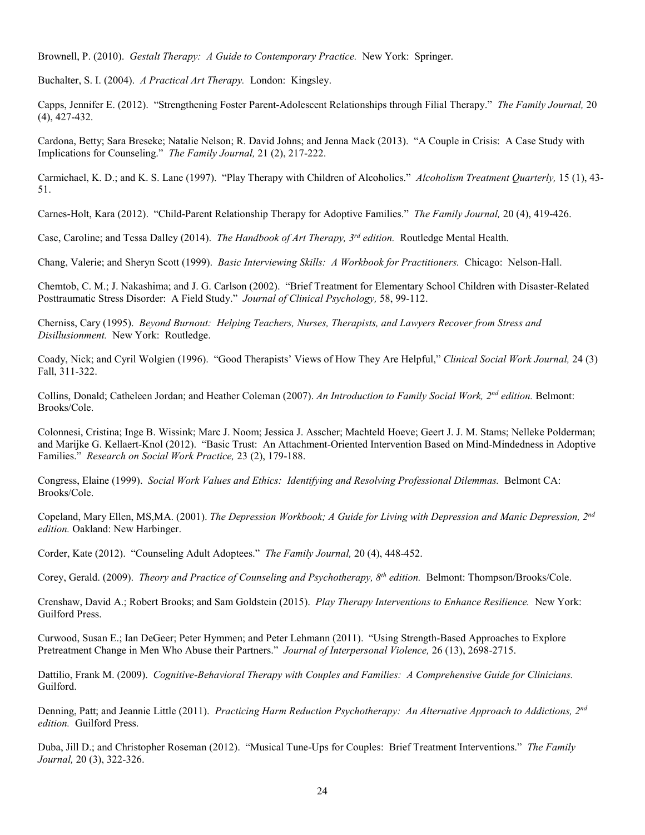Brownell, P. (2010). *Gestalt Therapy: A Guide to Contemporary Practice.* New York: Springer.

Buchalter, S. I. (2004). *A Practical Art Therapy.* London: Kingsley.

Capps, Jennifer E. (2012). "Strengthening Foster Parent-Adolescent Relationships through Filial Therapy." *The Family Journal,* 20 (4), 427-432.

Cardona, Betty; Sara Breseke; Natalie Nelson; R. David Johns; and Jenna Mack (2013). "A Couple in Crisis: A Case Study with Implications for Counseling." *The Family Journal,* 21 (2), 217-222.

Carmichael, K. D.; and K. S. Lane (1997). "Play Therapy with Children of Alcoholics." *Alcoholism Treatment Quarterly,* 15 (1), 43- 51.

Carnes-Holt, Kara (2012). "Child-Parent Relationship Therapy for Adoptive Families." *The Family Journal,* 20 (4), 419-426.

Case, Caroline; and Tessa Dalley (2014). *The Handbook of Art Therapy, 3rd edition.* Routledge Mental Health.

Chang, Valerie; and Sheryn Scott (1999). *Basic Interviewing Skills: A Workbook for Practitioners.* Chicago: Nelson-Hall.

Chemtob, C. M.; J. Nakashima; and J. G. Carlson (2002). "Brief Treatment for Elementary School Children with Disaster-Related Posttraumatic Stress Disorder: A Field Study." *Journal of Clinical Psychology,* 58, 99-112.

Cherniss, Cary (1995). *Beyond Burnout: Helping Teachers, Nurses, Therapists, and Lawyers Recover from Stress and Disillusionment.* New York: Routledge.

Coady, Nick; and Cyril Wolgien (1996). "Good Therapists' Views of How They Are Helpful," *Clinical Social Work Journal,* 24 (3) Fall, 311-322.

Collins, Donald; Catheleen Jordan; and Heather Coleman (2007). *An Introduction to Family Social Work, 2nd edition.* Belmont: Brooks/Cole.

Colonnesi, Cristina; Inge B. Wissink; Marc J. Noom; Jessica J. Asscher; Machteld Hoeve; Geert J. J. M. Stams; Nelleke Polderman; and Marijke G. Kellaert-Knol (2012). "Basic Trust: An Attachment-Oriented Intervention Based on Mind-Mindedness in Adoptive Families." *Research on Social Work Practice,* 23 (2), 179-188.

Congress, Elaine (1999). *Social Work Values and Ethics: Identifying and Resolving Professional Dilemmas.* Belmont CA: Brooks/Cole.

Copeland, Mary Ellen, MS,MA. (2001). *The Depression Workbook; A Guide for Living with Depression and Manic Depression, 2nd edition.* Oakland: New Harbinger.

Corder, Kate (2012). "Counseling Adult Adoptees." *The Family Journal,* 20 (4), 448-452.

Corey, Gerald. (2009). *Theory and Practice of Counseling and Psychotherapy, 8th edition.* Belmont: Thompson/Brooks/Cole.

Crenshaw, David A.; Robert Brooks; and Sam Goldstein (2015). *Play Therapy Interventions to Enhance Resilience.* New York: Guilford Press.

Curwood, Susan E.; Ian DeGeer; Peter Hymmen; and Peter Lehmann (2011). "Using Strength-Based Approaches to Explore Pretreatment Change in Men Who Abuse their Partners." *Journal of Interpersonal Violence,* 26 (13), 2698-2715.

Dattilio, Frank M. (2009). *Cognitive-Behavioral Therapy with Couples and Families: A Comprehensive Guide for Clinicians.* Guilford.

Denning, Patt; and Jeannie Little (2011). *Practicing Harm Reduction Psychotherapy: An Alternative Approach to Addictions, 2nd edition.* Guilford Press.

Duba, Jill D.; and Christopher Roseman (2012). "Musical Tune-Ups for Couples: Brief Treatment Interventions." *The Family Journal,* 20 (3), 322-326.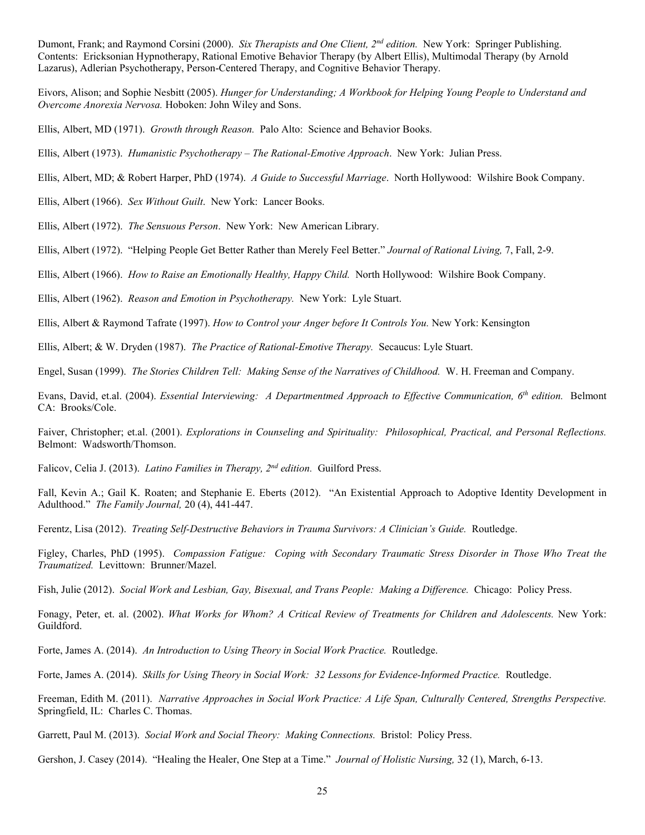Dumont, Frank; and Raymond Corsini (2000). *Six Therapists and One Client, 2nd edition.* New York: Springer Publishing. Contents: Ericksonian Hypnotherapy, Rational Emotive Behavior Therapy (by Albert Ellis), Multimodal Therapy (by Arnold Lazarus), Adlerian Psychotherapy, Person-Centered Therapy, and Cognitive Behavior Therapy.

Eivors, Alison; and Sophie Nesbitt (2005). *Hunger for Understanding; A Workbook for Helping Young People to Understand and Overcome Anorexia Nervosa.* Hoboken: John Wiley and Sons.

Ellis, Albert, MD (1971). *Growth through Reason.* Palo Alto: Science and Behavior Books.

Ellis, Albert (1973). *Humanistic Psychotherapy – The Rational-Emotive Approach*. New York: Julian Press.

Ellis, Albert, MD; & Robert Harper, PhD (1974). *A Guide to Successful Marriage*. North Hollywood: Wilshire Book Company.

Ellis, Albert (1966). *Sex Without Guilt*. New York: Lancer Books.

Ellis, Albert (1972). *The Sensuous Person*. New York: New American Library.

Ellis, Albert (1972). "Helping People Get Better Rather than Merely Feel Better." *Journal of Rational Living,* 7, Fall, 2-9.

Ellis, Albert (1966). *How to Raise an Emotionally Healthy, Happy Child.* North Hollywood: Wilshire Book Company.

Ellis, Albert (1962). *Reason and Emotion in Psychotherapy.* New York: Lyle Stuart.

Ellis, Albert & Raymond Tafrate (1997). *How to Control your Anger before It Controls You.* New York: Kensington

Ellis, Albert; & W. Dryden (1987). *The Practice of Rational-Emotive Therapy.* Secaucus: Lyle Stuart.

Engel, Susan (1999). *The Stories Children Tell: Making Sense of the Narratives of Childhood.* W. H. Freeman and Company.

Evans, David, et.al. (2004). *Essential Interviewing: A Departmentmed Approach to Effective Communication, 6th edition.* Belmont CA: Brooks/Cole.

Faiver, Christopher; et.al. (2001). *Explorations in Counseling and Spirituality: Philosophical, Practical, and Personal Reflections.* Belmont: Wadsworth/Thomson.

Falicov, Celia J. (2013). *Latino Families in Therapy, 2nd edition.* Guilford Press.

Fall, Kevin A.; Gail K. Roaten; and Stephanie E. Eberts (2012). "An Existential Approach to Adoptive Identity Development in Adulthood." *The Family Journal,* 20 (4), 441-447.

Ferentz, Lisa (2012). *Treating Self-Destructive Behaviors in Trauma Survivors: A Clinician's Guide.* Routledge.

Figley, Charles, PhD (1995). *Compassion Fatigue: Coping with Secondary Traumatic Stress Disorder in Those Who Treat the Traumatized.* Levittown: Brunner/Mazel.

Fish, Julie (2012). *Social Work and Lesbian, Gay, Bisexual, and Trans People: Making a Difference.* Chicago: Policy Press.

Fonagy, Peter, et. al. (2002). *What Works for Whom? A Critical Review of Treatments for Children and Adolescents.* New York: Guildford.

Forte, James A. (2014). *An Introduction to Using Theory in Social Work Practice.* Routledge.

Forte, James A. (2014). *Skills for Using Theory in Social Work: 32 Lessons for Evidence-Informed Practice.* Routledge.

Freeman, Edith M. (2011). *Narrative Approaches in Social Work Practice: A Life Span, Culturally Centered, Strengths Perspective.*  Springfield, IL: Charles C. Thomas.

Garrett, Paul M. (2013). *Social Work and Social Theory: Making Connections.* Bristol: Policy Press.

Gershon, J. Casey (2014). "Healing the Healer, One Step at a Time." *Journal of Holistic Nursing,* 32 (1), March, 6-13.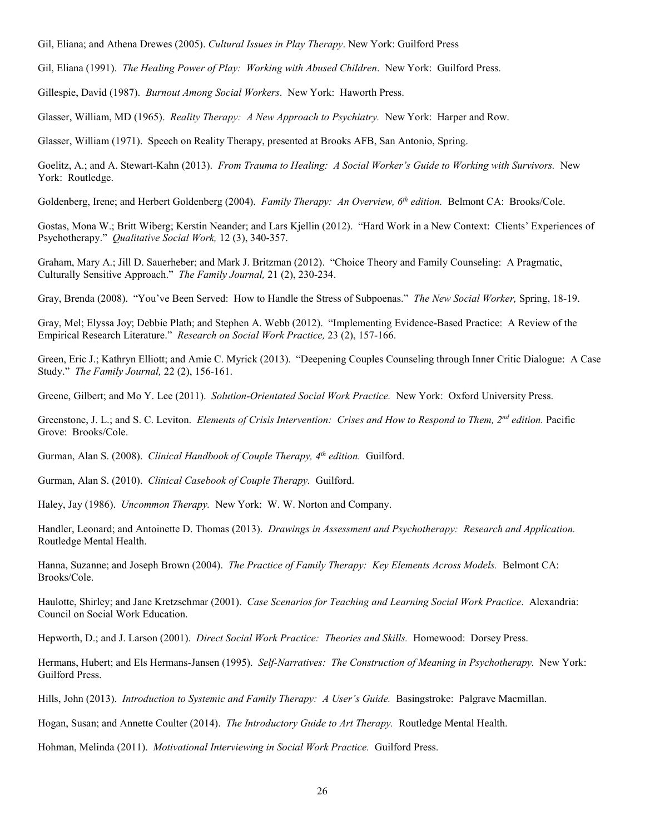Gil, Eliana; and Athena Drewes (2005). *Cultural Issues in Play Therapy*. New York: Guilford Press

Gil, Eliana (1991). *The Healing Power of Play: Working with Abused Children*. New York: Guilford Press.

Gillespie, David (1987). *Burnout Among Social Workers*. New York: Haworth Press.

Glasser, William, MD (1965). *Reality Therapy: A New Approach to Psychiatry.* New York: Harper and Row.

Glasser, William (1971). Speech on Reality Therapy, presented at Brooks AFB, San Antonio, Spring.

Goelitz, A.; and A. Stewart-Kahn (2013). *From Trauma to Healing: A Social Worker's Guide to Working with Survivors.* New York: Routledge.

Goldenberg, Irene; and Herbert Goldenberg (2004). *Family Therapy: An Overview, 6th edition.* Belmont CA: Brooks/Cole.

Gostas, Mona W.; Britt Wiberg; Kerstin Neander; and Lars Kjellin (2012). "Hard Work in a New Context: Clients' Experiences of Psychotherapy." *Qualitative Social Work,* 12 (3), 340-357.

Graham, Mary A.; Jill D. Sauerheber; and Mark J. Britzman (2012). "Choice Theory and Family Counseling: A Pragmatic, Culturally Sensitive Approach." *The Family Journal,* 21 (2), 230-234.

Gray, Brenda (2008). "You've Been Served: How to Handle the Stress of Subpoenas." *The New Social Worker,* Spring, 18-19.

Gray, Mel; Elyssa Joy; Debbie Plath; and Stephen A. Webb (2012). "Implementing Evidence-Based Practice: A Review of the Empirical Research Literature." *Research on Social Work Practice,* 23 (2), 157-166.

Green, Eric J.; Kathryn Elliott; and Amie C. Myrick (2013). "Deepening Couples Counseling through Inner Critic Dialogue: A Case Study." *The Family Journal,* 22 (2), 156-161.

Greene, Gilbert; and Mo Y. Lee (2011). *Solution-Orientated Social Work Practice.* New York: Oxford University Press.

Greenstone, J. L.; and S. C. Leviton. *Elements of Crisis Intervention: Crises and How to Respond to Them, 2nd edition.* Pacific Grove: Brooks/Cole.

Gurman, Alan S. (2008). *Clinical Handbook of Couple Therapy, 4th edition.* Guilford.

Gurman, Alan S. (2010). *Clinical Casebook of Couple Therapy.* Guilford.

Haley, Jay (1986). *Uncommon Therapy.* New York: W. W. Norton and Company.

Handler, Leonard; and Antoinette D. Thomas (2013). *Drawings in Assessment and Psychotherapy: Research and Application.*  Routledge Mental Health.

Hanna, Suzanne; and Joseph Brown (2004). *The Practice of Family Therapy: Key Elements Across Models.* Belmont CA: Brooks/Cole.

Haulotte, Shirley; and Jane Kretzschmar (2001). *Case Scenarios for Teaching and Learning Social Work Practice*. Alexandria: Council on Social Work Education.

Hepworth, D.; and J. Larson (2001). *Direct Social Work Practice: Theories and Skills.* Homewood: Dorsey Press.

Hermans, Hubert; and Els Hermans-Jansen (1995). *Self-Narratives: The Construction of Meaning in Psychotherapy.* New York: Guilford Press.

Hills, John (2013). *Introduction to Systemic and Family Therapy: A User's Guide.* Basingstroke: Palgrave Macmillan.

Hogan, Susan; and Annette Coulter (2014). *The Introductory Guide to Art Therapy.* Routledge Mental Health.

Hohman, Melinda (2011). *Motivational Interviewing in Social Work Practice.* Guilford Press.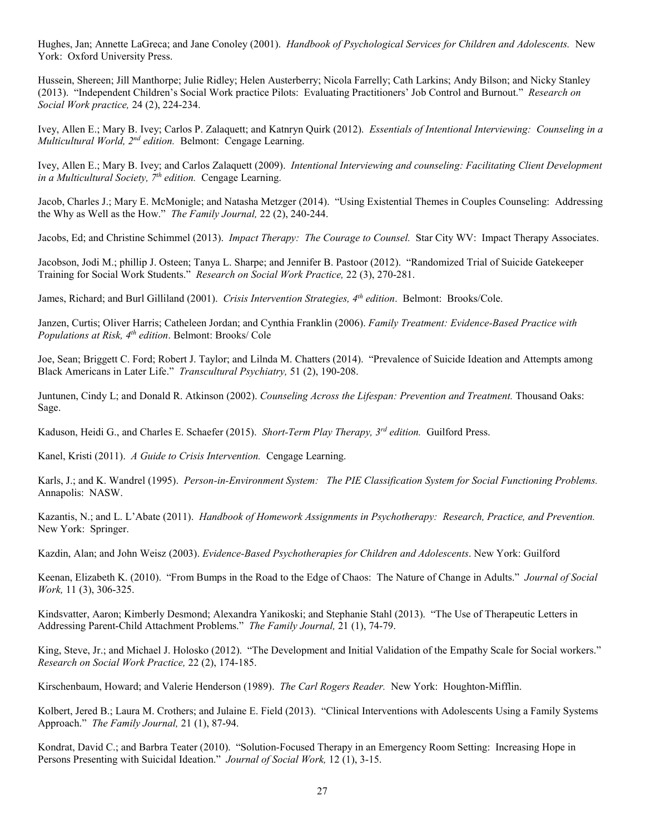Hughes, Jan; Annette LaGreca; and Jane Conoley (2001). *Handbook of Psychological Services for Children and Adolescents.* New York: Oxford University Press.

Hussein, Shereen; Jill Manthorpe; Julie Ridley; Helen Austerberry; Nicola Farrelly; Cath Larkins; Andy Bilson; and Nicky Stanley (2013). "Independent Children's Social Work practice Pilots: Evaluating Practitioners' Job Control and Burnout." *Research on Social Work practice,* 24 (2), 224-234.

Ivey, Allen E.; Mary B. Ivey; Carlos P. Zalaquett; and Katnryn Quirk (2012). *Essentials of Intentional Interviewing: Counseling in a Multicultural World, 2nd edition.* Belmont: Cengage Learning.

Ivey, Allen E.; Mary B. Ivey; and Carlos Zalaquett (2009). *Intentional Interviewing and counseling: Facilitating Client Development in a Multicultural Society, 7th edition.* Cengage Learning.

Jacob, Charles J.; Mary E. McMonigle; and Natasha Metzger (2014). "Using Existential Themes in Couples Counseling: Addressing the Why as Well as the How." *The Family Journal,* 22 (2), 240-244.

Jacobs, Ed; and Christine Schimmel (2013). *Impact Therapy: The Courage to Counsel.* Star City WV: Impact Therapy Associates.

Jacobson, Jodi M.; phillip J. Osteen; Tanya L. Sharpe; and Jennifer B. Pastoor (2012). "Randomized Trial of Suicide Gatekeeper Training for Social Work Students." *Research on Social Work Practice,* 22 (3), 270-281.

James, Richard; and Burl Gilliland (2001). *Crisis Intervention Strategies, 4th edition*. Belmont: Brooks/Cole.

Janzen, Curtis; Oliver Harris; Catheleen Jordan; and Cynthia Franklin (2006). *Family Treatment: Evidence-Based Practice with Populations at Risk, 4th edition*. Belmont: Brooks/ Cole

Joe, Sean; Briggett C. Ford; Robert J. Taylor; and Lilnda M. Chatters (2014). "Prevalence of Suicide Ideation and Attempts among Black Americans in Later Life." *Transcultural Psychiatry,* 51 (2), 190-208.

Juntunen, Cindy L; and Donald R. Atkinson (2002). *Counseling Across the Lifespan: Prevention and Treatment.* Thousand Oaks: Sage.

Kaduson, Heidi G., and Charles E. Schaefer (2015). *Short-Term Play Therapy, 3rd edition.* Guilford Press.

Kanel, Kristi (2011). *A Guide to Crisis Intervention.* Cengage Learning.

Karls, J.; and K. Wandrel (1995). *Person-in-Environment System: The PIE Classification System for Social Functioning Problems.*  Annapolis: NASW.

Kazantis, N.; and L. L'Abate (2011). *Handbook of Homework Assignments in Psychotherapy: Research, Practice, and Prevention.* New York: Springer.

Kazdin, Alan; and John Weisz (2003). *Evidence-Based Psychotherapies for Children and Adolescents*. New York: Guilford

Keenan, Elizabeth K. (2010). "From Bumps in the Road to the Edge of Chaos: The Nature of Change in Adults." *Journal of Social Work,* 11 (3), 306-325.

Kindsvatter, Aaron; Kimberly Desmond; Alexandra Yanikoski; and Stephanie Stahl (2013). "The Use of Therapeutic Letters in Addressing Parent-Child Attachment Problems." *The Family Journal,* 21 (1), 74-79.

King, Steve, Jr.; and Michael J. Holosko (2012). "The Development and Initial Validation of the Empathy Scale for Social workers." *Research on Social Work Practice,* 22 (2), 174-185.

Kirschenbaum, Howard; and Valerie Henderson (1989). *The Carl Rogers Reader.* New York: Houghton-Mifflin.

Kolbert, Jered B.; Laura M. Crothers; and Julaine E. Field (2013). "Clinical Interventions with Adolescents Using a Family Systems Approach." *The Family Journal,* 21 (1), 87-94.

Kondrat, David C.; and Barbra Teater (2010). "Solution-Focused Therapy in an Emergency Room Setting: Increasing Hope in Persons Presenting with Suicidal Ideation." *Journal of Social Work,* 12 (1), 3-15.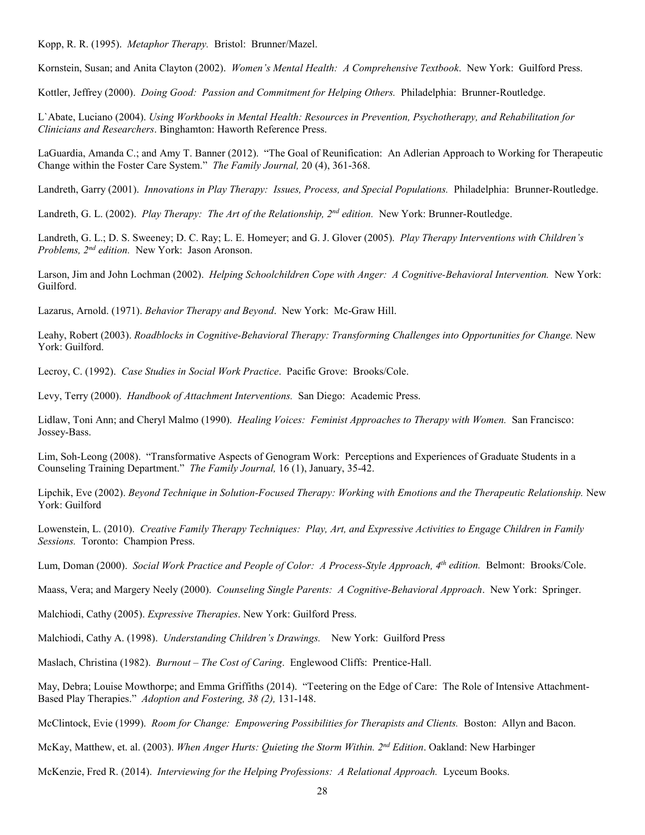Kopp, R. R. (1995). *Metaphor Therapy.* Bristol: Brunner/Mazel.

Kornstein, Susan; and Anita Clayton (2002). *Women's Mental Health: A Comprehensive Textbook*. New York: Guilford Press.

Kottler, Jeffrey (2000). *Doing Good: Passion and Commitment for Helping Others.* Philadelphia: Brunner-Routledge.

L`Abate, Luciano (2004). *Using Workbooks in Mental Health: Resources in Prevention, Psychotherapy, and Rehabilitation for Clinicians and Researchers*. Binghamton: Haworth Reference Press.

LaGuardia, Amanda C.; and Amy T. Banner (2012). "The Goal of Reunification: An Adlerian Approach to Working for Therapeutic Change within the Foster Care System." *The Family Journal,* 20 (4), 361-368.

Landreth, Garry (2001). *Innovations in Play Therapy: Issues, Process, and Special Populations.* Philadelphia: Brunner-Routledge.

Landreth, G. L. (2002). *Play Therapy: The Art of the Relationship, 2nd edition.* New York: Brunner-Routledge.

Landreth, G. L.; D. S. Sweeney; D. C. Ray; L. E. Homeyer; and G. J. Glover (2005). *Play Therapy Interventions with Children's Problems, 2nd edition.* New York: Jason Aronson.

Larson, Jim and John Lochman (2002). *Helping Schoolchildren Cope with Anger: A Cognitive-Behavioral Intervention.* New York: Guilford.

Lazarus, Arnold. (1971). *Behavior Therapy and Beyond*. New York: Mc-Graw Hill.

Leahy, Robert (2003). *Roadblocks in Cognitive-Behavioral Therapy: Transforming Challenges into Opportunities for Change.* New York: Guilford.

Lecroy, C. (1992). *Case Studies in Social Work Practice*. Pacific Grove: Brooks/Cole.

Levy, Terry (2000). *Handbook of Attachment Interventions.* San Diego: Academic Press.

Lidlaw, Toni Ann; and Cheryl Malmo (1990). *Healing Voices: Feminist Approaches to Therapy with Women.* San Francisco: Jossey-Bass.

Lim, Soh-Leong (2008). "Transformative Aspects of Genogram Work: Perceptions and Experiences of Graduate Students in a Counseling Training Department." *The Family Journal,* 16 (1), January, 35-42.

Lipchik, Eve (2002). *Beyond Technique in Solution-Focused Therapy: Working with Emotions and the Therapeutic Relationship.* New York: Guilford

Lowenstein, L. (2010). *Creative Family Therapy Techniques: Play, Art, and Expressive Activities to Engage Children in Family Sessions.* Toronto: Champion Press.

Lum, Doman (2000). *Social Work Practice and People of Color: A Process-Style Approach, 4th edition.* Belmont: Brooks/Cole.

Maass, Vera; and Margery Neely (2000). *Counseling Single Parents: A Cognitive-Behavioral Approach*. New York: Springer.

Malchiodi, Cathy (2005). *Expressive Therapies*. New York: Guilford Press.

Malchiodi, Cathy A. (1998). *Understanding Children's Drawings.* New York: Guilford Press

Maslach, Christina (1982). *Burnout – The Cost of Caring*. Englewood Cliffs: Prentice-Hall.

May, Debra; Louise Mowthorpe; and Emma Griffiths (2014). "Teetering on the Edge of Care: The Role of Intensive Attachment-Based Play Therapies." *Adoption and Fostering, 38 (2),* 131-148.

McClintock, Evie (1999). *Room for Change: Empowering Possibilities for Therapists and Clients.* Boston: Allyn and Bacon.

McKay, Matthew, et. al. (2003). *When Anger Hurts: Quieting the Storm Within. 2nd Edition*. Oakland: New Harbinger

McKenzie, Fred R. (2014). *Interviewing for the Helping Professions: A Relational Approach.* Lyceum Books.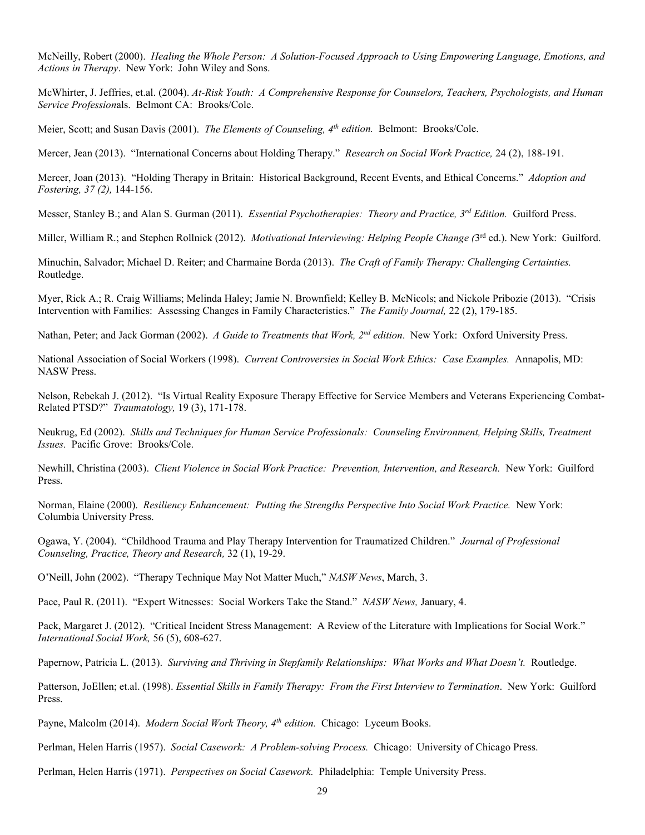McNeilly, Robert (2000). *Healing the Whole Person: A Solution-Focused Approach to Using Empowering Language, Emotions, and Actions in Therapy*. New York: John Wiley and Sons.

McWhirter, J. Jeffries, et.al. (2004). *At-Risk Youth: A Comprehensive Response for Counselors, Teachers, Psychologists, and Human Service Profession*als. Belmont CA: Brooks/Cole.

Meier, Scott; and Susan Davis (2001). *The Elements of Counseling, 4th edition.* Belmont: Brooks/Cole.

Mercer, Jean (2013). "International Concerns about Holding Therapy." *Research on Social Work Practice,* 24 (2), 188-191.

Mercer, Joan (2013). "Holding Therapy in Britain: Historical Background, Recent Events, and Ethical Concerns." *Adoption and Fostering, 37 (2),* 144-156.

Messer, Stanley B.; and Alan S. Gurman (2011). *Essential Psychotherapies: Theory and Practice, 3rd Edition.* Guilford Press.

Miller, William R.; and Stephen Rollnick (2012). *Motivational Interviewing: Helping People Change (*3rd ed.). New York: Guilford.

Minuchin, Salvador; Michael D. Reiter; and Charmaine Borda (2013). *The Craft of Family Therapy: Challenging Certainties.*  Routledge.

Myer, Rick A.; R. Craig Williams; Melinda Haley; Jamie N. Brownfield; Kelley B. McNicols; and Nickole Pribozie (2013). "Crisis Intervention with Families: Assessing Changes in Family Characteristics." *The Family Journal,* 22 (2), 179-185.

Nathan, Peter; and Jack Gorman (2002). *A Guide to Treatments that Work, 2nd edition*. New York: Oxford University Press.

National Association of Social Workers (1998). *Current Controversies in Social Work Ethics: Case Examples.* Annapolis, MD: NASW Press.

Nelson, Rebekah J. (2012). "Is Virtual Reality Exposure Therapy Effective for Service Members and Veterans Experiencing Combat-Related PTSD?" *Traumatology,* 19 (3), 171-178.

Neukrug, Ed (2002). *Skills and Techniques for Human Service Professionals: Counseling Environment, Helping Skills, Treatment Issues.* Pacific Grove: Brooks/Cole.

Newhill, Christina (2003). *Client Violence in Social Work Practice: Prevention, Intervention, and Research.* New York: Guilford Press.

Norman, Elaine (2000). *Resiliency Enhancement: Putting the Strengths Perspective Into Social Work Practice.* New York: Columbia University Press.

Ogawa, Y. (2004). "Childhood Trauma and Play Therapy Intervention for Traumatized Children." *Journal of Professional Counseling, Practice, Theory and Research,* 32 (1), 19-29.

O'Neill, John (2002). "Therapy Technique May Not Matter Much," *NASW News*, March, 3.

Pace, Paul R. (2011). "Expert Witnesses: Social Workers Take the Stand." *NASW News,* January, 4.

Pack, Margaret J. (2012). "Critical Incident Stress Management: A Review of the Literature with Implications for Social Work." *International Social Work,* 56 (5), 608-627.

Papernow, Patricia L. (2013). *Surviving and Thriving in Stepfamily Relationships: What Works and What Doesn't.* Routledge.

Patterson, JoEllen; et.al. (1998). *Essential Skills in Family Therapy: From the First Interview to Termination*. New York: Guilford Press.

Payne, Malcolm (2014). *Modern Social Work Theory, 4<sup>th</sup> edition*. Chicago: Lyceum Books.

Perlman, Helen Harris (1957). *Social Casework: A Problem-solving Process*. Chicago: University of Chicago Press.

Perlman, Helen Harris (1971). *Perspectives on Social Casework.* Philadelphia: Temple University Press.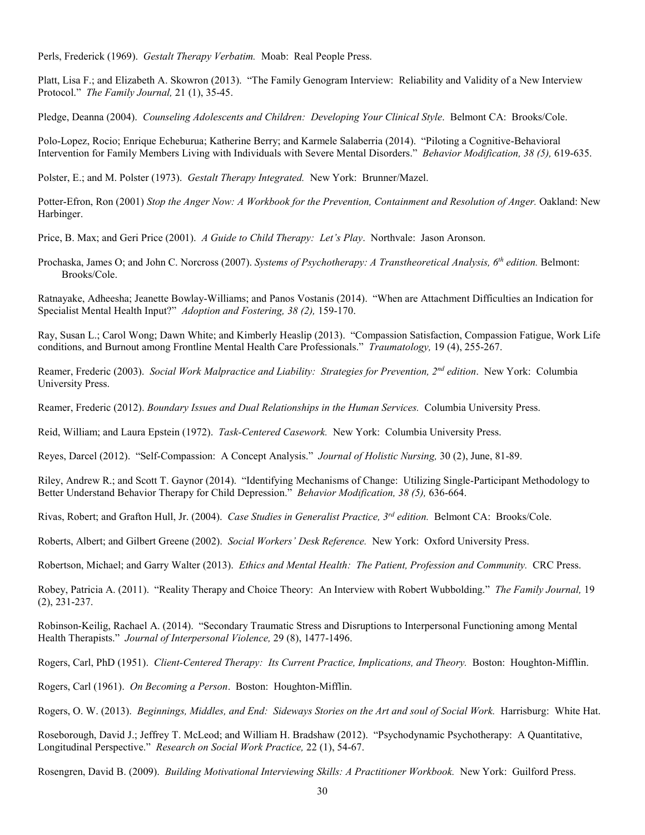Perls, Frederick (1969). *Gestalt Therapy Verbatim.* Moab: Real People Press.

Platt, Lisa F.; and Elizabeth A. Skowron (2013). "The Family Genogram Interview: Reliability and Validity of a New Interview Protocol." *The Family Journal,* 21 (1), 35-45.

Pledge, Deanna (2004). *Counseling Adolescents and Children: Developing Your Clinical Style*. Belmont CA: Brooks/Cole.

Polo-Lopez, Rocio; Enrique Echeburua; Katherine Berry; and Karmele Salaberria (2014). "Piloting a Cognitive-Behavioral Intervention for Family Members Living with Individuals with Severe Mental Disorders." *Behavior Modification, 38 (5),* 619-635.

Polster, E.; and M. Polster (1973). *Gestalt Therapy Integrated.* New York: Brunner/Mazel.

Potter-Efron, Ron (2001) *Stop the Anger Now: A Workbook for the Prevention, Containment and Resolution of Anger.* Oakland: New Harbinger.

Price, B. Max; and Geri Price (2001). *A Guide to Child Therapy: Let's Play*. Northvale: Jason Aronson.

Prochaska, James O; and John C. Norcross (2007). *Systems of Psychotherapy: A Transtheoretical Analysis, 6th edition.* Belmont: Brooks/Cole.

Ratnayake, Adheesha; Jeanette Bowlay-Williams; and Panos Vostanis (2014). "When are Attachment Difficulties an Indication for Specialist Mental Health Input?" *Adoption and Fostering, 38 (2),* 159-170.

Ray, Susan L.; Carol Wong; Dawn White; and Kimberly Heaslip (2013). "Compassion Satisfaction, Compassion Fatigue, Work Life conditions, and Burnout among Frontline Mental Health Care Professionals." *Traumatology,* 19 (4), 255-267.

Reamer, Frederic (2003). *Social Work Malpractice and Liability: Strategies for Prevention, 2nd edition*. New York: Columbia University Press.

Reamer, Frederic (2012). *Boundary Issues and Dual Relationships in the Human Services.* Columbia University Press.

Reid, William; and Laura Epstein (1972). *Task-Centered Casework.* New York: Columbia University Press.

Reyes, Darcel (2012). "Self-Compassion: A Concept Analysis." *Journal of Holistic Nursing,* 30 (2), June, 81-89.

Riley, Andrew R.; and Scott T. Gaynor (2014). "Identifying Mechanisms of Change: Utilizing Single-Participant Methodology to Better Understand Behavior Therapy for Child Depression." *Behavior Modification, 38 (5),* 636-664.

Rivas, Robert; and Grafton Hull, Jr. (2004). *Case Studies in Generalist Practice, 3rd edition.* Belmont CA: Brooks/Cole.

Roberts, Albert; and Gilbert Greene (2002). *Social Workers' Desk Reference.* New York: Oxford University Press.

Robertson, Michael; and Garry Walter (2013). *Ethics and Mental Health: The Patient, Profession and Community.* CRC Press.

Robey, Patricia A. (2011). "Reality Therapy and Choice Theory: An Interview with Robert Wubbolding." *The Family Journal,* 19 (2), 231-237.

Robinson-Keilig, Rachael A. (2014). "Secondary Traumatic Stress and Disruptions to Interpersonal Functioning among Mental Health Therapists." *Journal of Interpersonal Violence,* 29 (8), 1477-1496.

Rogers, Carl, PhD (1951). *Client-Centered Therapy: Its Current Practice, Implications, and Theory.* Boston: Houghton-Mifflin.

Rogers, Carl (1961). *On Becoming a Person*. Boston: Houghton-Mifflin.

Rogers, O. W. (2013). *Beginnings, Middles, and End: Sideways Stories on the Art and soul of Social Work.* Harrisburg: White Hat.

Roseborough, David J.; Jeffrey T. McLeod; and William H. Bradshaw (2012). "Psychodynamic Psychotherapy: A Quantitative, Longitudinal Perspective." *Research on Social Work Practice,* 22 (1), 54-67.

Rosengren, David B. (2009). *Building Motivational Interviewing Skills: A Practitioner Workbook.* New York: Guilford Press.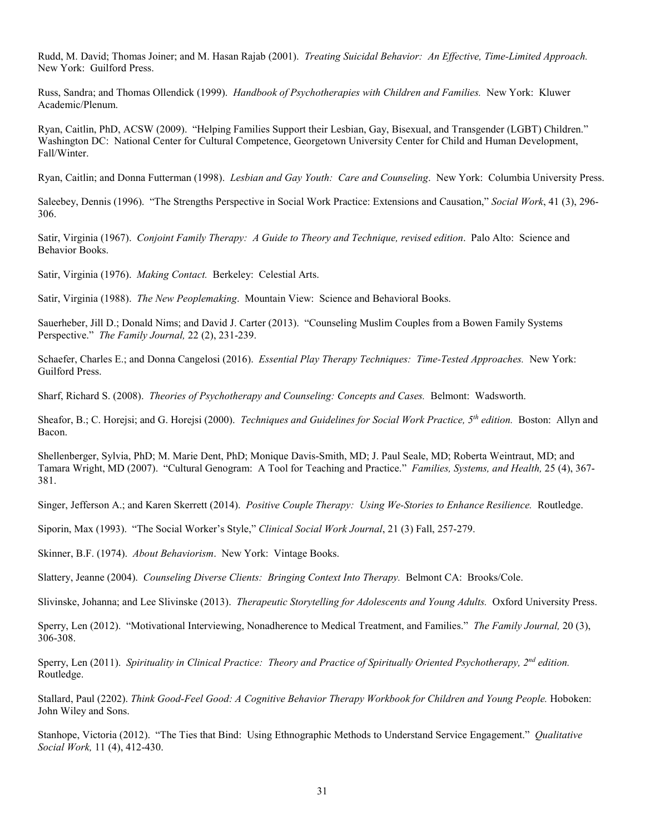Rudd, M. David; Thomas Joiner; and M. Hasan Rajab (2001). *Treating Suicidal Behavior: An Effective, Time-Limited Approach.*  New York: Guilford Press.

Russ, Sandra; and Thomas Ollendick (1999). *Handbook of Psychotherapies with Children and Families.* New York: Kluwer Academic/Plenum.

Ryan, Caitlin, PhD, ACSW (2009). "Helping Families Support their Lesbian, Gay, Bisexual, and Transgender (LGBT) Children." Washington DC: National Center for Cultural Competence, Georgetown University Center for Child and Human Development, Fall/Winter.

Ryan, Caitlin; and Donna Futterman (1998). *Lesbian and Gay Youth: Care and Counseling*. New York: Columbia University Press.

Saleebey, Dennis (1996). "The Strengths Perspective in Social Work Practice: Extensions and Causation," *Social Work*, 41 (3), 296- 306.

Satir, Virginia (1967). *Conjoint Family Therapy: A Guide to Theory and Technique, revised edition*. Palo Alto: Science and Behavior Books.

Satir, Virginia (1976). *Making Contact.* Berkeley: Celestial Arts.

Satir, Virginia (1988). *The New Peoplemaking*. Mountain View: Science and Behavioral Books.

Sauerheber, Jill D.; Donald Nims; and David J. Carter (2013). "Counseling Muslim Couples from a Bowen Family Systems Perspective." *The Family Journal,* 22 (2), 231-239.

Schaefer, Charles E.; and Donna Cangelosi (2016). *Essential Play Therapy Techniques: Time-Tested Approaches.* New York: Guilford Press.

Sharf, Richard S. (2008). *Theories of Psychotherapy and Counseling: Concepts and Cases.* Belmont: Wadsworth.

Sheafor, B.; C. Horejsi; and G. Horejsi (2000). *Techniques and Guidelines for Social Work Practice, 5th edition.* Boston: Allyn and Bacon.

Shellenberger, Sylvia, PhD; M. Marie Dent, PhD; Monique Davis-Smith, MD; J. Paul Seale, MD; Roberta Weintraut, MD; and Tamara Wright, MD (2007). "Cultural Genogram: A Tool for Teaching and Practice." *Families, Systems, and Health,* 25 (4), 367- 381.

Singer, Jefferson A.; and Karen Skerrett (2014). *Positive Couple Therapy: Using We-Stories to Enhance Resilience.* Routledge.

Siporin, Max (1993). "The Social Worker's Style," *Clinical Social Work Journal*, 21 (3) Fall, 257-279.

Skinner, B.F. (1974). *About Behaviorism*. New York: Vintage Books.

Slattery, Jeanne (2004). *Counseling Diverse Clients: Bringing Context Into Therapy.* Belmont CA: Brooks/Cole.

Slivinske, Johanna; and Lee Slivinske (2013). *Therapeutic Storytelling for Adolescents and Young Adults.* Oxford University Press.

Sperry, Len (2012). "Motivational Interviewing, Nonadherence to Medical Treatment, and Families." *The Family Journal,* 20 (3), 306-308.

Sperry, Len (2011). *Spirituality in Clinical Practice: Theory and Practice of Spiritually Oriented Psychotherapy, 2nd edition.*  Routledge.

Stallard, Paul (2202). *Think Good-Feel Good: A Cognitive Behavior Therapy Workbook for Children and Young People.* Hoboken: John Wiley and Sons.

Stanhope, Victoria (2012). "The Ties that Bind: Using Ethnographic Methods to Understand Service Engagement." *Qualitative Social Work,* 11 (4), 412-430.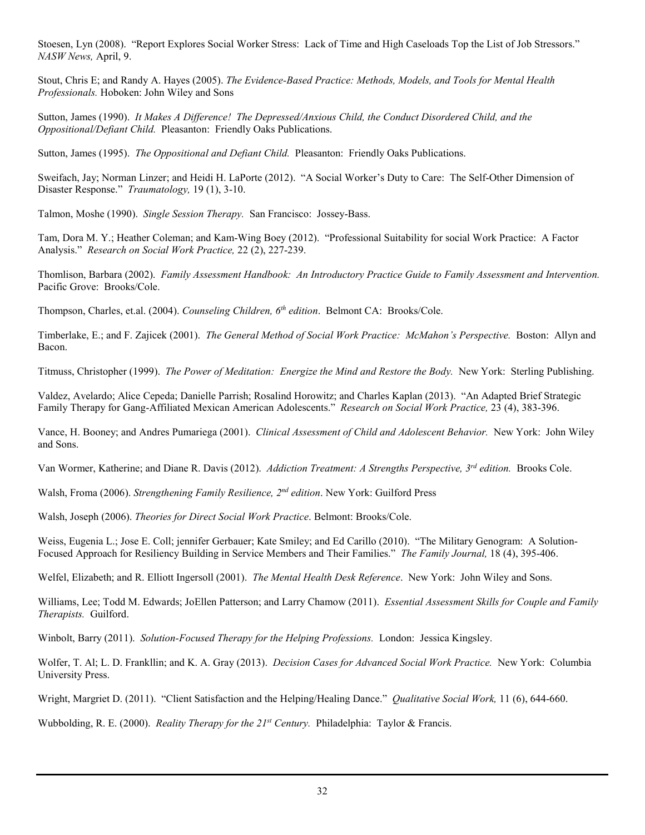Stoesen, Lyn (2008). "Report Explores Social Worker Stress: Lack of Time and High Caseloads Top the List of Job Stressors." *NASW News,* April, 9.

Stout, Chris E; and Randy A. Hayes (2005). *The Evidence-Based Practice: Methods, Models, and Tools for Mental Health Professionals.* Hoboken: John Wiley and Sons

Sutton, James (1990). *It Makes A Difference! The Depressed/Anxious Child, the Conduct Disordered Child, and the Oppositional/Defiant Child.* Pleasanton: Friendly Oaks Publications.

Sutton, James (1995). *The Oppositional and Defiant Child.* Pleasanton: Friendly Oaks Publications.

Sweifach, Jay; Norman Linzer; and Heidi H. LaPorte (2012). "A Social Worker's Duty to Care: The Self-Other Dimension of Disaster Response." *Traumatology,* 19 (1), 3-10.

Talmon, Moshe (1990). *Single Session Therapy.* San Francisco: Jossey-Bass.

Tam, Dora M. Y.; Heather Coleman; and Kam-Wing Boey (2012). "Professional Suitability for social Work Practice: A Factor Analysis." *Research on Social Work Practice,* 22 (2), 227-239.

Thomlison, Barbara (2002). *Family Assessment Handbook: An Introductory Practice Guide to Family Assessment and Intervention.*  Pacific Grove: Brooks/Cole.

Thompson, Charles, et.al. (2004). *Counseling Children, 6th edition*. Belmont CA: Brooks/Cole.

Timberlake, E.; and F. Zajicek (2001). *The General Method of Social Work Practice: McMahon's Perspective.* Boston: Allyn and Bacon.

Titmuss, Christopher (1999). *The Power of Meditation: Energize the Mind and Restore the Body.* New York: Sterling Publishing.

Valdez, Avelardo; Alice Cepeda; Danielle Parrish; Rosalind Horowitz; and Charles Kaplan (2013). "An Adapted Brief Strategic Family Therapy for Gang-Affiliated Mexican American Adolescents." *Research on Social Work Practice,* 23 (4), 383-396.

Vance, H. Booney; and Andres Pumariega (2001). *Clinical Assessment of Child and Adolescent Behavior.* New York: John Wiley and Sons.

Van Wormer, Katherine; and Diane R. Davis (2012). *Addiction Treatment: A Strengths Perspective, 3rd edition.* Brooks Cole.

Walsh, Froma (2006). *Strengthening Family Resilience, 2nd edition*. New York: Guilford Press

Walsh, Joseph (2006). *Theories for Direct Social Work Practice*. Belmont: Brooks/Cole.

Weiss, Eugenia L.; Jose E. Coll; jennifer Gerbauer; Kate Smiley; and Ed Carillo (2010). "The Military Genogram: A Solution-Focused Approach for Resiliency Building in Service Members and Their Families." *The Family Journal,* 18 (4), 395-406.

Welfel, Elizabeth; and R. Elliott Ingersoll (2001). *The Mental Health Desk Reference*. New York: John Wiley and Sons.

Williams, Lee; Todd M. Edwards; JoEllen Patterson; and Larry Chamow (2011). *Essential Assessment Skills for Couple and Family Therapists.* Guilford.

Winbolt, Barry (2011). *Solution-Focused Therapy for the Helping Professions.* London: Jessica Kingsley.

Wolfer, T. Al; L. D. Frankllin; and K. A. Gray (2013). *Decision Cases for Advanced Social Work Practice.* New York: Columbia University Press.

Wright, Margriet D. (2011). "Client Satisfaction and the Helping/Healing Dance." *Qualitative Social Work,* 11 (6), 644-660.

Wubbolding, R. E. (2000). *Reality Therapy for the 21st Century.* Philadelphia: Taylor & Francis.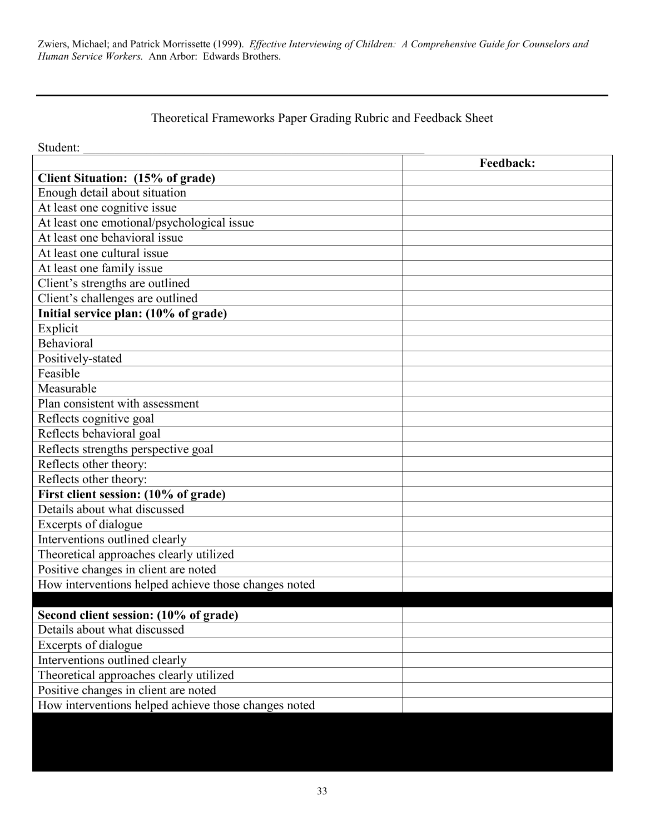Zwiers, Michael; and Patrick Morrissette (1999). *Effective Interviewing of Children: A Comprehensive Guide for Counselors and Human Service Workers.* Ann Arbor: Edwards Brothers.

# Theoretical Frameworks Paper Grading Rubric and Feedback Sheet

Student:

|                                                      | <b>Feedback:</b> |
|------------------------------------------------------|------------------|
| Client Situation: (15% of grade)                     |                  |
| Enough detail about situation                        |                  |
| At least one cognitive issue                         |                  |
| At least one emotional/psychological issue           |                  |
| At least one behavioral issue                        |                  |
| At least one cultural issue                          |                  |
| At least one family issue                            |                  |
| Client's strengths are outlined                      |                  |
| Client's challenges are outlined                     |                  |
| Initial service plan: (10% of grade)                 |                  |
| Explicit                                             |                  |
| Behavioral                                           |                  |
| Positively-stated                                    |                  |
| Feasible                                             |                  |
| Measurable                                           |                  |
| Plan consistent with assessment                      |                  |
| Reflects cognitive goal                              |                  |
| Reflects behavioral goal                             |                  |
| Reflects strengths perspective goal                  |                  |
| Reflects other theory:                               |                  |
| Reflects other theory:                               |                  |
| First client session: (10% of grade)                 |                  |
| Details about what discussed                         |                  |
| Excerpts of dialogue                                 |                  |
| Interventions outlined clearly                       |                  |
| Theoretical approaches clearly utilized              |                  |
| Positive changes in client are noted                 |                  |
| How interventions helped achieve those changes noted |                  |
|                                                      |                  |
| Second client session: (10% of grade)                |                  |
| Details about what discussed                         |                  |
| Excerpts of dialogue                                 |                  |
| Interventions outlined clearly                       |                  |
| Theoretical approaches clearly utilized              |                  |
| Positive changes in client are noted                 |                  |
| How interventions helped achieve those changes noted |                  |
|                                                      |                  |
|                                                      |                  |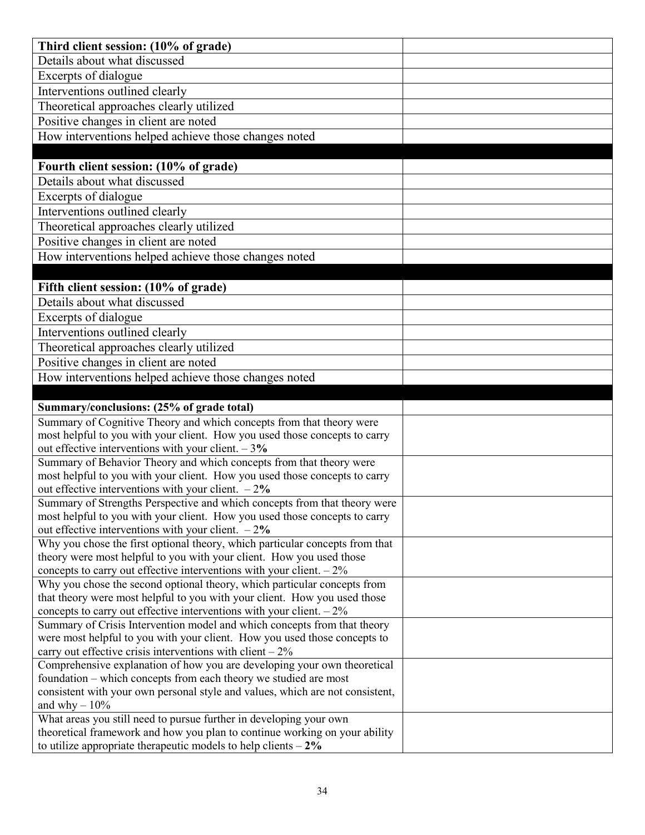| Third client session: (10% of grade)                                                                                                               |  |
|----------------------------------------------------------------------------------------------------------------------------------------------------|--|
| Details about what discussed                                                                                                                       |  |
| Excerpts of dialogue                                                                                                                               |  |
| Interventions outlined clearly                                                                                                                     |  |
| Theoretical approaches clearly utilized                                                                                                            |  |
| Positive changes in client are noted                                                                                                               |  |
| How interventions helped achieve those changes noted                                                                                               |  |
|                                                                                                                                                    |  |
| Fourth client session: (10% of grade)                                                                                                              |  |
| Details about what discussed                                                                                                                       |  |
| Excerpts of dialogue                                                                                                                               |  |
| Interventions outlined clearly                                                                                                                     |  |
| Theoretical approaches clearly utilized                                                                                                            |  |
| Positive changes in client are noted                                                                                                               |  |
| How interventions helped achieve those changes noted                                                                                               |  |
|                                                                                                                                                    |  |
| Fifth client session: (10% of grade)                                                                                                               |  |
| Details about what discussed                                                                                                                       |  |
| Excerpts of dialogue                                                                                                                               |  |
| Interventions outlined clearly                                                                                                                     |  |
| Theoretical approaches clearly utilized                                                                                                            |  |
| Positive changes in client are noted                                                                                                               |  |
| How interventions helped achieve those changes noted                                                                                               |  |
|                                                                                                                                                    |  |
|                                                                                                                                                    |  |
| Summary/conclusions: (25% of grade total)                                                                                                          |  |
| Summary of Cognitive Theory and which concepts from that theory were                                                                               |  |
| most helpful to you with your client. How you used those concepts to carry                                                                         |  |
| out effective interventions with your client. $-3\%$                                                                                               |  |
| Summary of Behavior Theory and which concepts from that theory were                                                                                |  |
| most helpful to you with your client. How you used those concepts to carry                                                                         |  |
| out effective interventions with your client. $-2\%$                                                                                               |  |
| Summary of Strengths Perspective and which concepts from that theory were                                                                          |  |
| most helpful to you with your client. How you used those concepts to carry                                                                         |  |
| out effective interventions with your client. $-2\%$                                                                                               |  |
| Why you chose the first optional theory, which particular concepts from that                                                                       |  |
| theory were most helpful to you with your client. How you used those                                                                               |  |
| concepts to carry out effective interventions with your client. $-2\%$                                                                             |  |
| Why you chose the second optional theory, which particular concepts from                                                                           |  |
| that theory were most helpful to you with your client. How you used those                                                                          |  |
| concepts to carry out effective interventions with your client. $-2\%$<br>Summary of Crisis Intervention model and which concepts from that theory |  |
| were most helpful to you with your client. How you used those concepts to                                                                          |  |
| carry out effective crisis interventions with client $-2\%$                                                                                        |  |
| Comprehensive explanation of how you are developing your own theoretical                                                                           |  |
| foundation – which concepts from each theory we studied are most                                                                                   |  |
| consistent with your own personal style and values, which are not consistent,                                                                      |  |
| and why $-10\%$                                                                                                                                    |  |
| What areas you still need to pursue further in developing your own                                                                                 |  |
| theoretical framework and how you plan to continue working on your ability<br>to utilize appropriate therapeutic models to help clients $-2\%$     |  |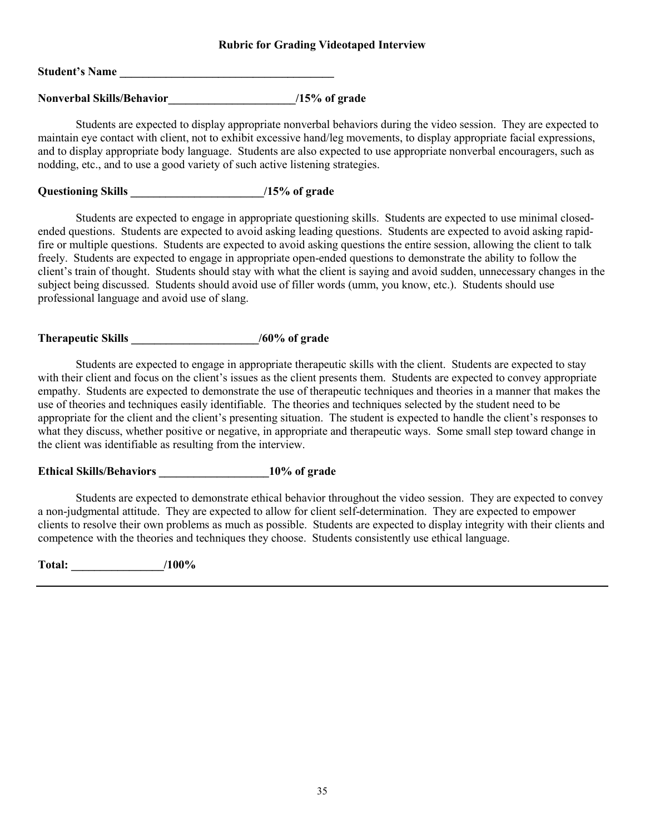#### **Rubric for Grading Videotaped Interview**

| <b>Student's Name</b> |  |
|-----------------------|--|
|                       |  |

Nonverbal Skills/Behavior /15% of grade

Students are expected to display appropriate nonverbal behaviors during the video session. They are expected to maintain eye contact with client, not to exhibit excessive hand/leg movements, to display appropriate facial expressions, and to display appropriate body language. Students are also expected to use appropriate nonverbal encouragers, such as nodding, etc., and to use a good variety of such active listening strategies.

## **Questioning Skills \_\_\_\_\_\_\_\_\_\_\_\_\_\_\_\_\_\_\_\_\_\_\_/15% of grade**

Students are expected to engage in appropriate questioning skills. Students are expected to use minimal closedended questions. Students are expected to avoid asking leading questions. Students are expected to avoid asking rapidfire or multiple questions. Students are expected to avoid asking questions the entire session, allowing the client to talk freely. Students are expected to engage in appropriate open-ended questions to demonstrate the ability to follow the client's train of thought. Students should stay with what the client is saying and avoid sudden, unnecessary changes in the subject being discussed. Students should avoid use of filler words (umm, you know, etc.). Students should use professional language and avoid use of slang.

## **Therapeutic Skills \_\_\_\_\_\_\_\_\_\_\_\_\_\_\_\_\_\_\_\_\_\_/60% of grade**

Students are expected to engage in appropriate therapeutic skills with the client. Students are expected to stay with their client and focus on the client's issues as the client presents them. Students are expected to convey appropriate empathy. Students are expected to demonstrate the use of therapeutic techniques and theories in a manner that makes the use of theories and techniques easily identifiable. The theories and techniques selected by the student need to be appropriate for the client and the client's presenting situation. The student is expected to handle the client's responses to what they discuss, whether positive or negative, in appropriate and therapeutic ways. Some small step toward change in the client was identifiable as resulting from the interview.

## **Ethical Skills/Behaviors \_\_\_\_\_\_\_\_\_\_\_\_\_\_\_\_\_\_\_10% of grade**

Students are expected to demonstrate ethical behavior throughout the video session. They are expected to convey a non-judgmental attitude. They are expected to allow for client self-determination. They are expected to empower clients to resolve their own problems as much as possible. Students are expected to display integrity with their clients and competence with the theories and techniques they choose. Students consistently use ethical language.

**Total: \_\_\_\_\_\_\_\_\_\_\_\_\_\_\_\_/100%**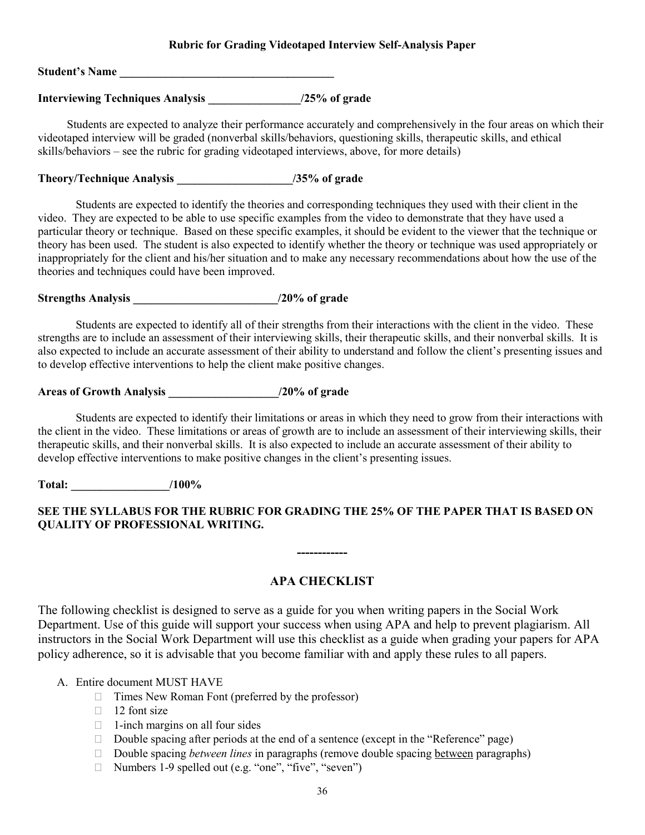#### **Rubric for Grading Videotaped Interview Self-Analysis Paper**

Student's Name

## **Interviewing Techniques Analysis \_\_\_\_\_\_\_\_\_\_\_\_\_\_\_\_/25% of grade**

Students are expected to analyze their performance accurately and comprehensively in the four areas on which their videotaped interview will be graded (nonverbal skills/behaviors, questioning skills, therapeutic skills, and ethical skills/behaviors – see the rubric for grading videotaped interviews, above, for more details)

# **Theory/Technique Analysis \_\_\_\_\_\_\_\_\_\_\_\_\_\_\_\_\_\_\_\_/35% of grade**

Students are expected to identify the theories and corresponding techniques they used with their client in the video. They are expected to be able to use specific examples from the video to demonstrate that they have used a particular theory or technique. Based on these specific examples, it should be evident to the viewer that the technique or theory has been used. The student is also expected to identify whether the theory or technique was used appropriately or inappropriately for the client and his/her situation and to make any necessary recommendations about how the use of the theories and techniques could have been improved.

**Strengths Analysis \_\_\_\_\_\_\_\_\_\_\_\_\_\_\_\_\_\_\_\_\_\_\_\_\_/20% of grade**

Students are expected to identify all of their strengths from their interactions with the client in the video. These strengths are to include an assessment of their interviewing skills, their therapeutic skills, and their nonverbal skills. It is also expected to include an accurate assessment of their ability to understand and follow the client's presenting issues and to develop effective interventions to help the client make positive changes.

# **Areas of Growth Analysis \_\_\_\_\_\_\_\_\_\_\_\_\_\_\_\_\_\_\_/20% of grade**

Students are expected to identify their limitations or areas in which they need to grow from their interactions with the client in the video. These limitations or areas of growth are to include an assessment of their interviewing skills, their therapeutic skills, and their nonverbal skills. It is also expected to include an accurate assessment of their ability to develop effective interventions to make positive changes in the client's presenting issues.

**Total: \_\_\_\_\_\_\_\_\_\_\_\_\_\_\_\_\_/100%**

## **SEE THE SYLLABUS FOR THE RUBRIC FOR GRADING THE 25% OF THE PAPER THAT IS BASED ON QUALITY OF PROFESSIONAL WRITING.**

### **APA CHECKLIST**

**------------**

The following checklist is designed to serve as a guide for you when writing papers in the Social Work Department. Use of this guide will support your success when using APA and help to prevent plagiarism. All instructors in the Social Work Department will use this checklist as a guide when grading your papers for APA policy adherence, so it is advisable that you become familiar with and apply these rules to all papers.

#### A. Entire document MUST HAVE

- $\Box$  Times New Roman Font (preferred by the professor)
- $\Box$  12 font size
- $\Box$  1-inch margins on all four sides
- Double spacing after periods at the end of a sentence (except in the "Reference" page)
- □ Double spacing *between lines* in paragraphs (remove double spacing between paragraphs)
- $\Box$  Numbers 1-9 spelled out (e.g. "one", "five", "seven")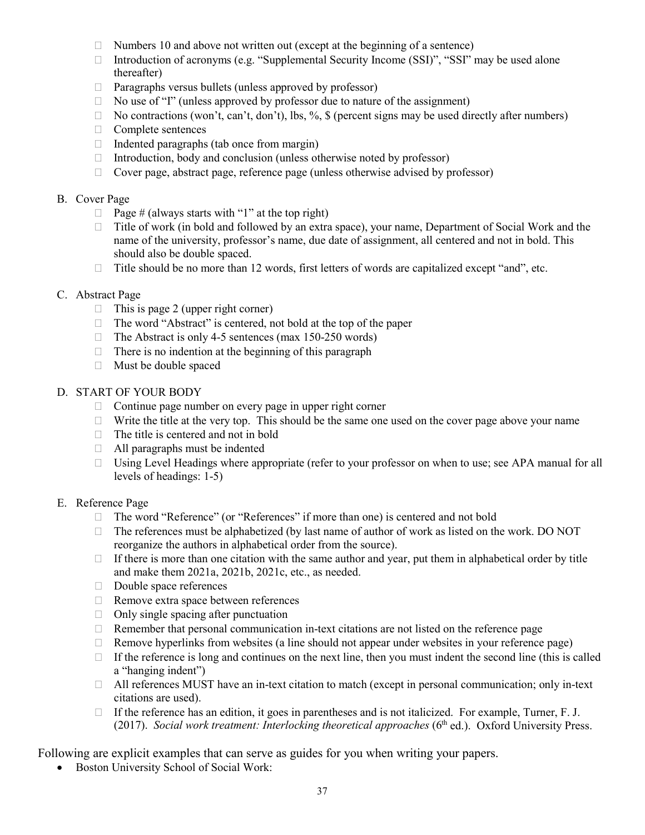- $\Box$  Numbers 10 and above not written out (except at the beginning of a sentence)
- Introduction of acronyms (e.g. "Supplemental Security Income (SSI)", "SSI" may be used alone thereafter)
- $\Box$  Paragraphs versus bullets (unless approved by professor)
- $\Box$  No use of "I" (unless approved by professor due to nature of the assignment)
- $\Box$  No contractions (won't, can't, don't), lbs, %, \$ (percent signs may be used directly after numbers)
- $\Box$  Complete sentences
- $\Box$  Indented paragraphs (tab once from margin)
- $\Box$  Introduction, body and conclusion (unless otherwise noted by professor)
- $\Box$  Cover page, abstract page, reference page (unless otherwise advised by professor)

#### B. Cover Page

- $\Box$  Page # (always starts with "1" at the top right)
- $\Box$  Title of work (in bold and followed by an extra space), your name, Department of Social Work and the name of the university, professor's name, due date of assignment, all centered and not in bold. This should also be double spaced.
- $\Box$  Title should be no more than 12 words, first letters of words are capitalized except "and", etc.

#### C. Abstract Page

- $\Box$  This is page 2 (upper right corner)
- $\Box$  The word "Abstract" is centered, not bold at the top of the paper
- $\Box$  The Abstract is only 4-5 sentences (max 150-250 words)
- $\Box$  There is no indention at the beginning of this paragraph
- Must be double spaced

### D. START OF YOUR BODY

- $\Box$  Continue page number on every page in upper right corner
- $\Box$  Write the title at the very top. This should be the same one used on the cover page above your name
- $\Box$  The title is centered and not in bold
- $\Box$  All paragraphs must be indented
- □ Using Level Headings where appropriate (refer to your professor on when to use; see APA manual for all levels of headings: 1-5)

#### E. Reference Page

- □ The word "Reference" (or "References" if more than one) is centered and not bold
- $\Box$  The references must be alphabetized (by last name of author of work as listed on the work. DO NOT reorganize the authors in alphabetical order from the source).
- $\Box$  If there is more than one citation with the same author and year, put them in alphabetical order by title and make them 2021a, 2021b, 2021c, etc., as needed.
- Double space references
- □ Remove extra space between references
- $\Box$  Only single spacing after punctuation
- $\Box$  Remember that personal communication in-text citations are not listed on the reference page
- $\Box$  Remove hyperlinks from websites (a line should not appear under websites in your reference page)
- $\Box$  If the reference is long and continues on the next line, then you must indent the second line (this is called a "hanging indent")
- $\Box$  All references MUST have an in-text citation to match (except in personal communication; only in-text citations are used).
- If the reference has an edition, it goes in parentheses and is not italicized. For example, Turner, F. J. (2017). *Social work treatment: Interlocking theoretical approaches* (6<sup>th</sup> ed.). Oxford University Press.

Following are explicit examples that can serve as guides for you when writing your papers.

• Boston University School of Social Work: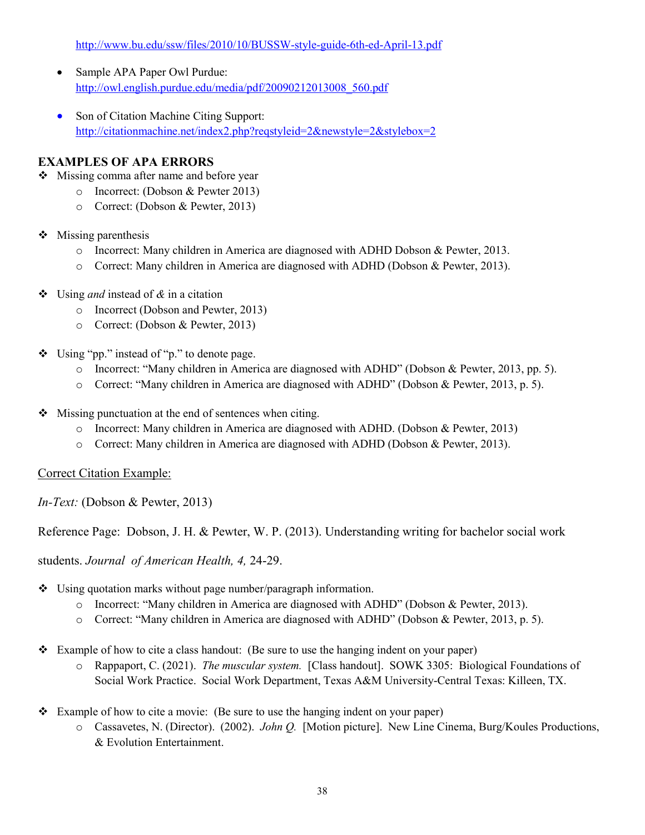<http://www.bu.edu/ssw/files/2010/10/BUSSW-style-guide-6th-ed-April-13.pdf>

- Sample APA Paper Owl Purdue: [http://owl.english.purdue.edu/media/pdf/20090212013008\\_560.pdf](http://owl.english.purdue.edu/media/pdf/20090212013008_560.pdf)
- Son of Citation Machine Citing Support: <http://citationmachine.net/index2.php?reqstyleid=2&newstyle=2&stylebox=2>

## **EXAMPLES OF APA ERRORS**

- ❖ Missing comma after name and before year
	- o Incorrect: (Dobson & Pewter 2013)
	- o Correct: (Dobson & Pewter, 2013)
- $\triangleleft$  Missing parenthesis
	- o Incorrect: Many children in America are diagnosed with ADHD Dobson & Pewter, 2013.
	- o Correct: Many children in America are diagnosed with ADHD (Dobson & Pewter, 2013).
- Using *and* instead of *&* in a citation
	- o Incorrect (Dobson and Pewter, 2013)
	- o Correct: (Dobson & Pewter, 2013)
- Using "pp." instead of "p." to denote page.
	- o Incorrect: "Many children in America are diagnosed with ADHD" (Dobson & Pewter, 2013, pp. 5).
	- o Correct: "Many children in America are diagnosed with ADHD" (Dobson & Pewter, 2013, p. 5).
- $\triangle$  Missing punctuation at the end of sentences when citing.
	- o Incorrect: Many children in America are diagnosed with ADHD. (Dobson & Pewter, 2013)
	- o Correct: Many children in America are diagnosed with ADHD (Dobson & Pewter, 2013).

### Correct Citation Example:

*In-Text:* (Dobson & Pewter, 2013)

Reference Page: Dobson, J. H. & Pewter, W. P. (2013). Understanding writing for bachelor social work

students. *Journal of American Health, 4,* 24-29.

- Using quotation marks without page number/paragraph information.
	- o Incorrect: "Many children in America are diagnosed with ADHD" (Dobson & Pewter, 2013).
	- o Correct: "Many children in America are diagnosed with ADHD" (Dobson & Pewter, 2013, p. 5).
- $\div$  Example of how to cite a class handout: (Be sure to use the hanging indent on your paper)
	- o Rappaport, C. (2021). *The muscular system.* [Class handout]. SOWK 3305: Biological Foundations of Social Work Practice. Social Work Department, Texas A&M University-Central Texas: Killeen, TX.
- Example of how to cite a movie: (Be sure to use the hanging indent on your paper)
	- o Cassavetes, N. (Director). (2002). *John Q.* [Motion picture]. New Line Cinema, Burg/Koules Productions, & Evolution Entertainment.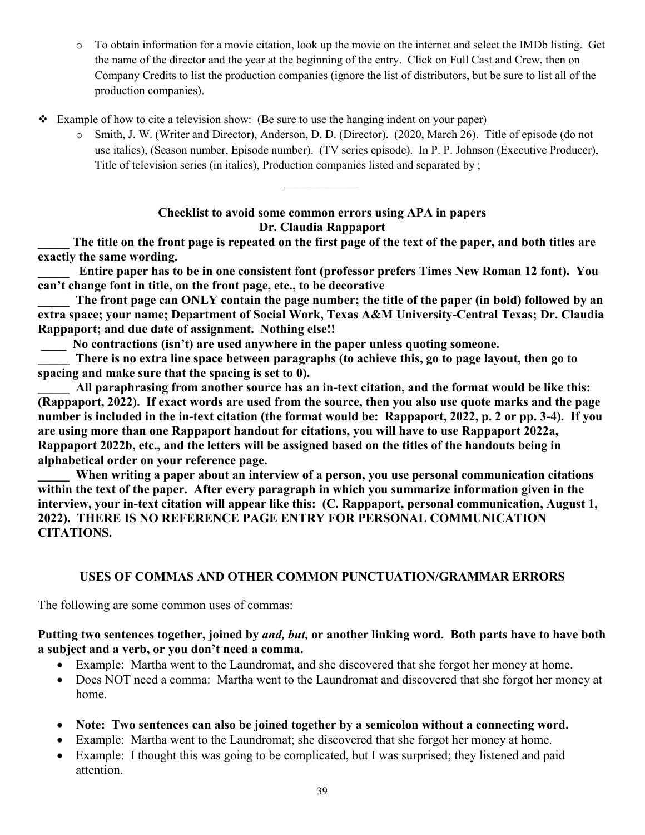- o To obtain information for a movie citation, look up the movie on the internet and select the IMDb listing. Get the name of the director and the year at the beginning of the entry. Click on Full Cast and Crew, then on Company Credits to list the production companies (ignore the list of distributors, but be sure to list all of the production companies).
- Example of how to cite a television show: (Be sure to use the hanging indent on your paper)
	- o Smith, J. W. (Writer and Director), Anderson, D. D. (Director). (2020, March 26). Title of episode (do not use italics), (Season number, Episode number). (TV series episode). In P. P. Johnson (Executive Producer), Title of television series (in italics), Production companies listed and separated by ;

## **Checklist to avoid some common errors using APA in papers Dr. Claudia Rappaport**

**\_\_\_\_\_ The title on the front page is repeated on the first page of the text of the paper, and both titles are exactly the same wording.**

**\_\_\_\_\_ Entire paper has to be in one consistent font (professor prefers Times New Roman 12 font). You can't change font in title, on the front page, etc., to be decorative**

The front page can ONLY contain the page number; the title of the paper (in bold) followed by an **extra space; your name; Department of Social Work, Texas A&M University-Central Texas; Dr. Claudia Rappaport; and due date of assignment. Nothing else!!**

**\_\_\_\_ No contractions (isn't) are used anywhere in the paper unless quoting someone.**

There is no extra line space between paragraphs (to achieve this, go to page layout, then go to **spacing and make sure that the spacing is set to 0).**

All paraphrasing from another source has an in-text citation, and the format would be like this: **(Rappaport, 2022). If exact words are used from the source, then you also use quote marks and the page number is included in the in-text citation (the format would be: Rappaport, 2022, p. 2 or pp. 3-4). If you are using more than one Rappaport handout for citations, you will have to use Rappaport 2022a, Rappaport 2022b, etc., and the letters will be assigned based on the titles of the handouts being in alphabetical order on your reference page.**

When writing a paper about an interview of a person, you use personal communication citations **within the text of the paper. After every paragraph in which you summarize information given in the interview, your in-text citation will appear like this: (C. Rappaport, personal communication, August 1, 2022). THERE IS NO REFERENCE PAGE ENTRY FOR PERSONAL COMMUNICATION CITATIONS.**

## **USES OF COMMAS AND OTHER COMMON PUNCTUATION/GRAMMAR ERRORS**

The following are some common uses of commas:

## **Putting two sentences together, joined by** *and, but,* **or another linking word. Both parts have to have both a subject and a verb, or you don't need a comma.**

- Example: Martha went to the Laundromat, and she discovered that she forgot her money at home.
- Does NOT need a comma: Martha went to the Laundromat and discovered that she forgot her money at home.
- **Note: Two sentences can also be joined together by a semicolon without a connecting word.**
- Example: Martha went to the Laundromat; she discovered that she forgot her money at home.
- Example: I thought this was going to be complicated, but I was surprised; they listened and paid attention.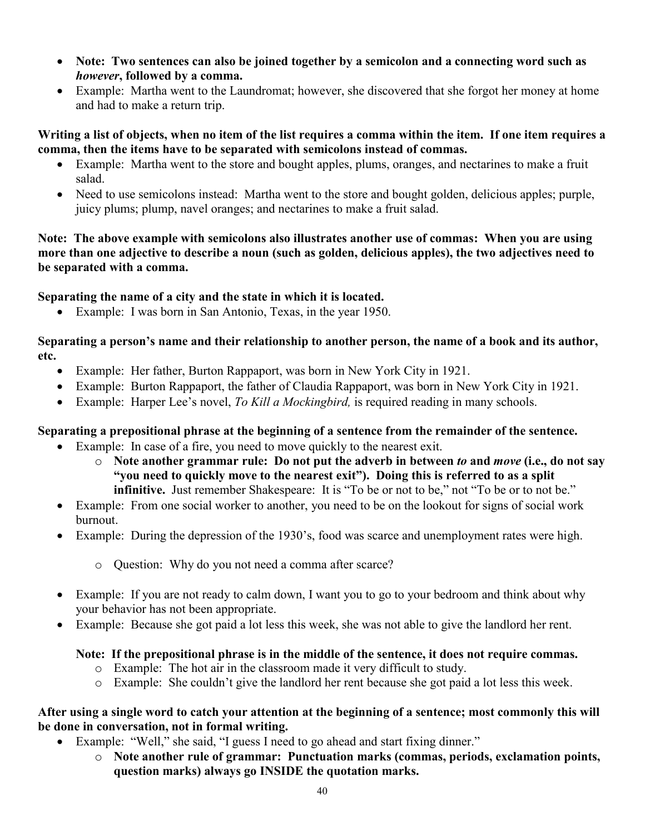- **Note: Two sentences can also be joined together by a semicolon and a connecting word such as**  *however***, followed by a comma.**
- Example: Martha went to the Laundromat; however, she discovered that she forgot her money at home and had to make a return trip.

**Writing a list of objects, when no item of the list requires a comma within the item. If one item requires a comma, then the items have to be separated with semicolons instead of commas.**

- Example: Martha went to the store and bought apples, plums, oranges, and nectarines to make a fruit salad.
- Need to use semicolons instead: Martha went to the store and bought golden, delicious apples; purple, juicy plums; plump, navel oranges; and nectarines to make a fruit salad.

**Note: The above example with semicolons also illustrates another use of commas: When you are using more than one adjective to describe a noun (such as golden, delicious apples), the two adjectives need to be separated with a comma.**

**Separating the name of a city and the state in which it is located.**

• Example: I was born in San Antonio, Texas, in the year 1950.

**Separating a person's name and their relationship to another person, the name of a book and its author, etc.**

- Example: Her father, Burton Rappaport, was born in New York City in 1921.
- Example: Burton Rappaport, the father of Claudia Rappaport, was born in New York City in 1921.
- Example: Harper Lee's novel, *To Kill a Mockingbird*, is required reading in many schools.

# **Separating a prepositional phrase at the beginning of a sentence from the remainder of the sentence.**

- Example: In case of a fire, you need to move quickly to the nearest exit.
	- o **Note another grammar rule: Do not put the adverb in between** *to* **and** *move* **(i.e., do not say "you need to quickly move to the nearest exit"). Doing this is referred to as a split infinitive.** Just remember Shakespeare: It is "To be or not to be," not "To be or to not be."
- Example: From one social worker to another, you need to be on the lookout for signs of social work burnout.
- Example: During the depression of the 1930's, food was scarce and unemployment rates were high.
	- o Question: Why do you not need a comma after scarce?
- Example: If you are not ready to calm down, I want you to go to your bedroom and think about why your behavior has not been appropriate.
- Example: Because she got paid a lot less this week, she was not able to give the landlord her rent.

## **Note: If the prepositional phrase is in the middle of the sentence, it does not require commas.**

- o Example: The hot air in the classroom made it very difficult to study.
- o Example: She couldn't give the landlord her rent because she got paid a lot less this week.

## **After using a single word to catch your attention at the beginning of a sentence; most commonly this will be done in conversation, not in formal writing.**

- Example: "Well," she said, "I guess I need to go ahead and start fixing dinner."
	- o **Note another rule of grammar: Punctuation marks (commas, periods, exclamation points, question marks) always go INSIDE the quotation marks.**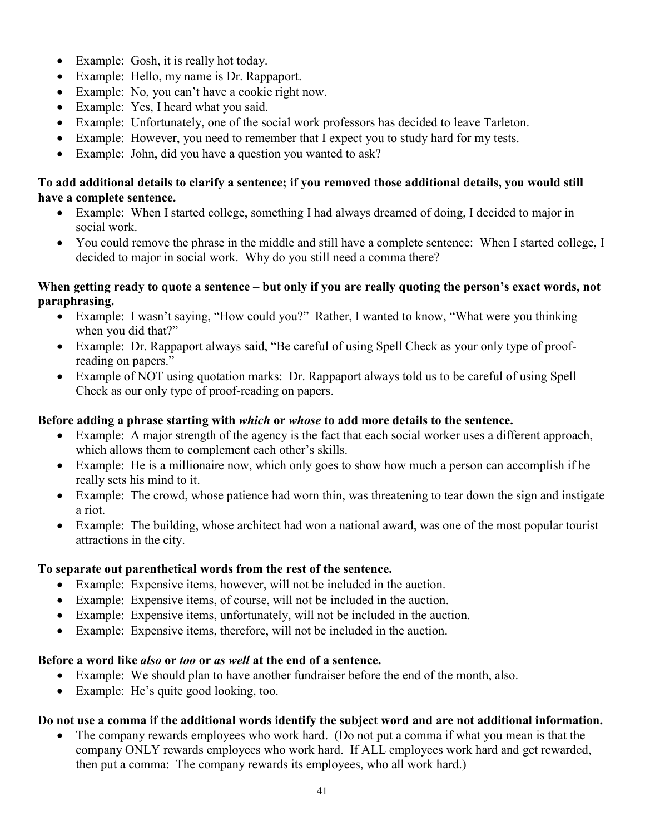- Example: Gosh, it is really hot today.
- Example: Hello, my name is Dr. Rappaport.
- Example: No, you can't have a cookie right now.
- Example: Yes, I heard what you said.
- Example: Unfortunately, one of the social work professors has decided to leave Tarleton.
- Example: However, you need to remember that I expect you to study hard for my tests.
- Example: John, did you have a question you wanted to ask?

# **To add additional details to clarify a sentence; if you removed those additional details, you would still have a complete sentence.**

- Example: When I started college, something I had always dreamed of doing, I decided to major in social work.
- You could remove the phrase in the middle and still have a complete sentence: When I started college, I decided to major in social work. Why do you still need a comma there?

### **When getting ready to quote a sentence – but only if you are really quoting the person's exact words, not paraphrasing.**

- Example: I wasn't saying, "How could you?" Rather, I wanted to know, "What were you thinking when you did that?"
- Example: Dr. Rappaport always said, "Be careful of using Spell Check as your only type of proofreading on papers."
- Example of NOT using quotation marks: Dr. Rappaport always told us to be careful of using Spell Check as our only type of proof-reading on papers.

## **Before adding a phrase starting with** *which* **or** *whose* **to add more details to the sentence.**

- Example: A major strength of the agency is the fact that each social worker uses a different approach, which allows them to complement each other's skills.
- Example: He is a millionaire now, which only goes to show how much a person can accomplish if he really sets his mind to it.
- Example: The crowd, whose patience had worn thin, was threatening to tear down the sign and instigate a riot.
- Example: The building, whose architect had won a national award, was one of the most popular tourist attractions in the city.

## **To separate out parenthetical words from the rest of the sentence.**

- Example: Expensive items, however, will not be included in the auction.
- Example: Expensive items, of course, will not be included in the auction.
- Example: Expensive items, unfortunately, will not be included in the auction.
- Example: Expensive items, therefore, will not be included in the auction.

## **Before a word like** *also* **or** *too* **or** *as well* **at the end of a sentence.**

- Example: We should plan to have another fundraiser before the end of the month, also.
- Example: He's quite good looking, too.

# **Do not use a comma if the additional words identify the subject word and are not additional information.**

The company rewards employees who work hard. (Do not put a comma if what you mean is that the company ONLY rewards employees who work hard. If ALL employees work hard and get rewarded, then put a comma: The company rewards its employees, who all work hard.)